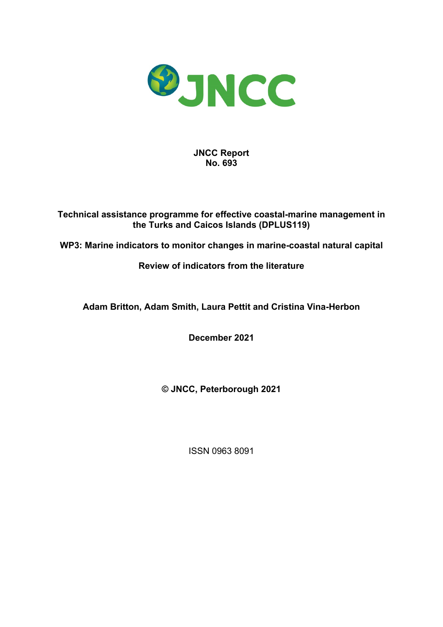

**JNCC Report No. 693**

**Technical assistance programme for effective coastal-marine management in the Turks and Caicos Islands (DPLUS119)**

**WP3: Marine indicators to monitor changes in marine-coastal natural capital**

## **Review of indicators from the literature**

**Adam Britton, Adam Smith, Laura Pettit and Cristina Vina-Herbon**

**December 2021**

**© JNCC, Peterborough 2021**

ISSN 0963 8091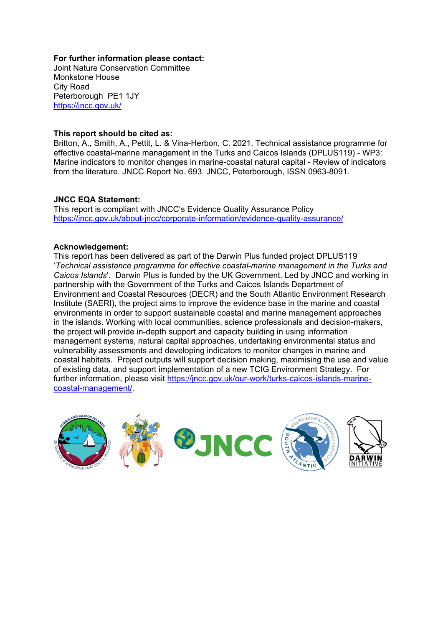#### **For further information please contact:**

Joint Nature Conservation Committee Monkstone House City Road Peterborough PE1 1JY <https://jncc.gov.uk/>

#### **This report should be cited as:**

Britton, A., Smith, A., Pettit, L. & Vina-Herbon, C. 2021. Technical assistance programme for effective coastal-marine management in the Turks and Caicos Islands (DPLUS119) - WP3: Marine indicators to monitor changes in marine-coastal natural capital - Review of indicators from the literature. JNCC Report No. 693. JNCC, Peterborough, ISSN 0963-8091.

#### **JNCC EQA Statement:**

This report is compliant with JNCC's Evidence Quality Assurance Policy <https://jncc.gov.uk/about-jncc/corporate-information/evidence-quality-assurance/>

#### **Acknowledgement:**

This report has been delivered as part of the Darwin Plus funded project DPLUS119 '*Technical assistance programme for effective coastal-marine management in the Turks and Caicos Islands*'. Darwin Plus is funded by the UK Government. Led by JNCC and working in partnership with the Government of the Turks and Caicos Islands Department of Environment and Coastal Resources (DECR) and the South Atlantic Environment Research Institute (SAERI), the project aims to improve the evidence base in the marine and coastal environments in order to support sustainable coastal and marine management approaches in the islands. Working with local communities, science professionals and decision-makers, the project will provide in-depth support and capacity building in using information management systems, natural capital approaches, undertaking environmental status and vulnerability assessments and developing indicators to monitor changes in marine and coastal habitats. Project outputs will support decision making, maximising the use and value of existing data, and support implementation of a new TCIG Environment Strategy. For further information, please visit [https://jncc.gov.uk/our-work/turks-caicos-islands-marine](https://jncc.gov.uk/our-work/turks-caicos-islands-marine-coastal-management/)[coastal-management/.](https://jncc.gov.uk/our-work/turks-caicos-islands-marine-coastal-management/)

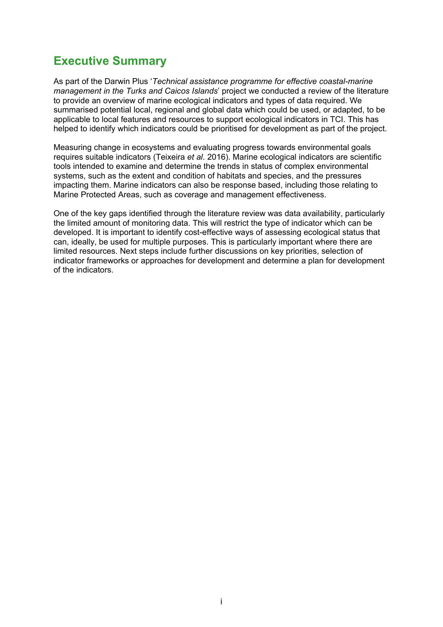# <span id="page-2-0"></span>**Executive Summary**

As part of the Darwin Plus '*Technical assistance programme for effective coastal-marine management in the Turks and Caicos Islands*' project we conducted a review of the literature to provide an overview of marine ecological indicators and types of data required. We summarised potential local, regional and global data which could be used, or adapted, to be applicable to local features and resources to support ecological indicators in TCI. This has helped to identify which indicators could be prioritised for development as part of the project.

Measuring change in ecosystems and evaluating progress towards environmental goals requires suitable indicators (Teixeira *et al*. 2016). Marine ecological indicators are scientific tools intended to examine and determine the trends in status of complex environmental systems, such as the extent and condition of habitats and species, and the pressures impacting them. Marine indicators can also be response based, including those relating to Marine Protected Areas, such as coverage and management effectiveness.

One of the key gaps identified through the literature review was data availability, particularly the limited amount of monitoring data. This will restrict the type of indicator which can be developed. It is important to identify cost-effective ways of assessing ecological status that can, ideally, be used for multiple purposes. This is particularly important where there are limited resources. Next steps include further discussions on key priorities, selection of indicator frameworks or approaches for development and determine a plan for development of the indicators.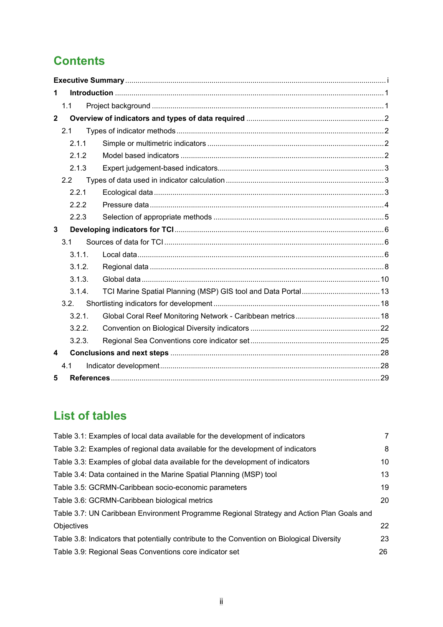# **Contents**

| 1                       |        |  |  |  |  |  |  |
|-------------------------|--------|--|--|--|--|--|--|
|                         | 1.1    |  |  |  |  |  |  |
| $\mathbf{2}$            |        |  |  |  |  |  |  |
|                         | 2.1    |  |  |  |  |  |  |
|                         | 2.1.1  |  |  |  |  |  |  |
|                         | 2.1.2  |  |  |  |  |  |  |
|                         | 2.1.3  |  |  |  |  |  |  |
|                         | 2.2    |  |  |  |  |  |  |
|                         | 2.2.1  |  |  |  |  |  |  |
|                         | 2.2.2  |  |  |  |  |  |  |
|                         | 2.2.3  |  |  |  |  |  |  |
| 3                       |        |  |  |  |  |  |  |
|                         | 3.1    |  |  |  |  |  |  |
|                         | 3.1.1. |  |  |  |  |  |  |
|                         | 3.1.2. |  |  |  |  |  |  |
|                         | 3.1.3. |  |  |  |  |  |  |
|                         | 3.1.4. |  |  |  |  |  |  |
|                         | 3.2.   |  |  |  |  |  |  |
|                         | 3.2.1. |  |  |  |  |  |  |
|                         | 3.2.2. |  |  |  |  |  |  |
|                         | 3.2.3. |  |  |  |  |  |  |
| $\overline{\mathbf{4}}$ |        |  |  |  |  |  |  |
|                         | 4.1    |  |  |  |  |  |  |
| 5                       |        |  |  |  |  |  |  |

# **List of tables**

| Table 3.1: Examples of local data available for the development of indicators               | 7  |
|---------------------------------------------------------------------------------------------|----|
| Table 3.2: Examples of regional data available for the development of indicators            | 8  |
| Table 3.3: Examples of global data available for the development of indicators              | 10 |
| Table 3.4: Data contained in the Marine Spatial Planning (MSP) tool                         | 13 |
| Table 3.5: GCRMN-Caribbean socio-economic parameters                                        | 19 |
| Table 3.6: GCRMN-Caribbean biological metrics                                               | 20 |
| Table 3.7: UN Caribbean Environment Programme Regional Strategy and Action Plan Goals and   |    |
| Objectives                                                                                  | 22 |
| Table 3.8: Indicators that potentially contribute to the Convention on Biological Diversity | 23 |
| Table 3.9: Regional Seas Conventions core indicator set                                     | 26 |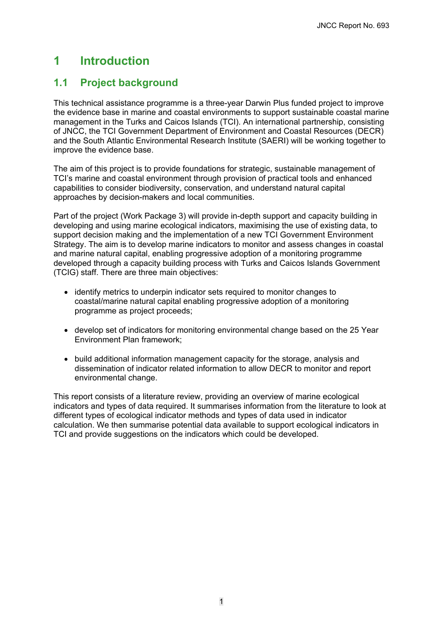# <span id="page-4-0"></span>**1 Introduction**

## <span id="page-4-1"></span>**1.1 Project background**

This technical assistance programme is a three-year Darwin Plus funded project to improve the evidence base in marine and coastal environments to support sustainable coastal marine management in the Turks and Caicos Islands (TCI). An international partnership, consisting of JNCC, the TCI Government Department of Environment and Coastal Resources (DECR) and the South Atlantic Environmental Research Institute (SAERI) will be working together to improve the evidence base.

The aim of this project is to provide foundations for strategic, sustainable management of TCI's marine and coastal environment through provision of practical tools and enhanced capabilities to consider biodiversity, conservation, and understand natural capital approaches by decision-makers and local communities.

Part of the project (Work Package 3) will provide in-depth support and capacity building in developing and using marine ecological indicators, maximising the use of existing data, to support decision making and the implementation of a new TCI Government Environment Strategy. The aim is to develop marine indicators to monitor and assess changes in coastal and marine natural capital, enabling progressive adoption of a monitoring programme developed through a capacity building process with Turks and Caicos Islands Government (TCIG) staff. There are three main objectives:

- identify metrics to underpin indicator sets required to monitor changes to coastal/marine natural capital enabling progressive adoption of a monitoring programme as project proceeds;
- develop set of indicators for monitoring environmental change based on the 25 Year Environment Plan framework;
- build additional information management capacity for the storage, analysis and dissemination of indicator related information to allow DECR to monitor and report environmental change.

This report consists of a literature review, providing an overview of marine ecological indicators and types of data required. It summarises information from the literature to look at different types of ecological indicator methods and types of data used in indicator calculation. We then summarise potential data available to support ecological indicators in TCI and provide suggestions on the indicators which could be developed.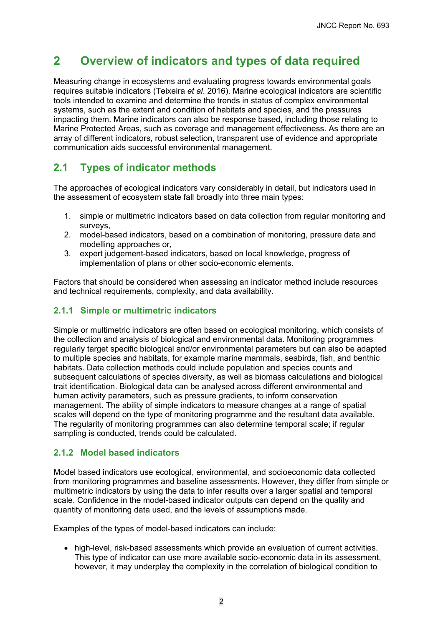# <span id="page-5-0"></span>**2 Overview of indicators and types of data required**

Measuring change in ecosystems and evaluating progress towards environmental goals requires suitable indicators (Teixeira *et al*. 2016). Marine ecological indicators are scientific tools intended to examine and determine the trends in status of complex environmental systems, such as the extent and condition of habitats and species, and the pressures impacting them. Marine indicators can also be response based, including those relating to Marine Protected Areas, such as coverage and management effectiveness. As there are an array of different indicators, robust selection, transparent use of evidence and appropriate communication aids successful environmental management.

## <span id="page-5-1"></span>**2.1 Types of indicator methods**

The approaches of ecological indicators vary considerably in detail, but indicators used in the assessment of ecosystem state fall broadly into three main types:

- 1. simple or multimetric indicators based on data collection from regular monitoring and surveys.
- 2. model-based indicators, based on a combination of monitoring, pressure data and modelling approaches or,
- 3. expert judgement-based indicators, based on local knowledge, progress of implementation of plans or other socio-economic elements.

Factors that should be considered when assessing an indicator method include resources and technical requirements, complexity, and data availability.

#### <span id="page-5-2"></span>**2.1.1 Simple or multimetric indicators**

Simple or multimetric indicators are often based on ecological monitoring, which consists of the collection and analysis of biological and environmental data. Monitoring programmes regularly target specific biological and/or environmental parameters but can also be adapted to multiple species and habitats, for example marine mammals, seabirds, fish, and benthic habitats. Data collection methods could include population and species counts and subsequent calculations of species diversity, as well as biomass calculations and biological trait identification. Biological data can be analysed across different environmental and human activity parameters, such as pressure gradients, to inform conservation management. The ability of simple indicators to measure changes at a range of spatial scales will depend on the type of monitoring programme and the resultant data available. The regularity of monitoring programmes can also determine temporal scale; if regular sampling is conducted, trends could be calculated.

#### <span id="page-5-3"></span>**2.1.2 Model based indicators**

Model based indicators use ecological, environmental, and socioeconomic data collected from monitoring programmes and baseline assessments. However, they differ from simple or multimetric indicators by using the data to infer results over a larger spatial and temporal scale. Confidence in the model-based indicator outputs can depend on the quality and quantity of monitoring data used, and the levels of assumptions made.

Examples of the types of model-based indicators can include:

• high-level, risk-based assessments which provide an evaluation of current activities. This type of indicator can use more available socio-economic data in its assessment, however, it may underplay the complexity in the correlation of biological condition to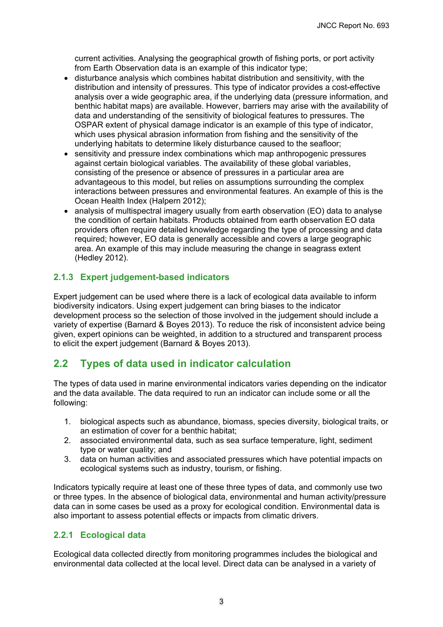current activities. Analysing the geographical growth of fishing ports, or port activity from Earth Observation data is an example of this indicator type;

- disturbance analysis which combines habitat distribution and sensitivity, with the distribution and intensity of pressures. This type of indicator provides a cost-effective analysis over a wide geographic area, if the underlying data (pressure information, and benthic habitat maps) are available. However, barriers may arise with the availability of data and understanding of the sensitivity of biological features to pressures. The OSPAR extent of physical damage indicator is an example of this type of indicator, which uses physical abrasion information from fishing and the sensitivity of the underlying habitats to determine likely disturbance caused to the seafloor;
- sensitivity and pressure index combinations which map anthropogenic pressures against certain biological variables. The availability of these global variables, consisting of the presence or absence of pressures in a particular area are advantageous to this model, but relies on assumptions surrounding the complex interactions between pressures and environmental features. An example of this is the Ocean Health Index (Halpern 2012);
- analysis of multispectral imagery usually from earth observation (EO) data to analyse the condition of certain habitats. Products obtained from earth observation EO data providers often require detailed knowledge regarding the type of processing and data required; however, EO data is generally accessible and covers a large geographic area. An example of this may include measuring the change in seagrass extent (Hedley 2012).

## <span id="page-6-0"></span>**2.1.3 Expert judgement-based indicators**

Expert judgement can be used where there is a lack of ecological data available to inform biodiversity indicators. Using expert judgement can bring biases to the indicator development process so the selection of those involved in the judgement should include a variety of expertise (Barnard & Boyes 2013). To reduce the risk of inconsistent advice being given, expert opinions can be weighted, in addition to a structured and transparent process to elicit the expert judgement (Barnard & Boyes 2013).

## <span id="page-6-1"></span>**2.2 Types of data used in indicator calculation**

The types of data used in marine environmental indicators varies depending on the indicator and the data available. The data required to run an indicator can include some or all the following:

- 1. biological aspects such as abundance, biomass, species diversity, biological traits, or an estimation of cover for a benthic habitat;
- 2. associated environmental data, such as sea surface temperature, light, sediment type or water quality; and
- 3. data on human activities and associated pressures which have potential impacts on ecological systems such as industry, tourism, or fishing.

Indicators typically require at least one of these three types of data, and commonly use two or three types. In the absence of biological data, environmental and human activity/pressure data can in some cases be used as a proxy for ecological condition. Environmental data is also important to assess potential effects or impacts from climatic drivers.

## <span id="page-6-2"></span>**2.2.1 Ecological data**

Ecological data collected directly from monitoring programmes includes the biological and environmental data collected at the local level. Direct data can be analysed in a variety of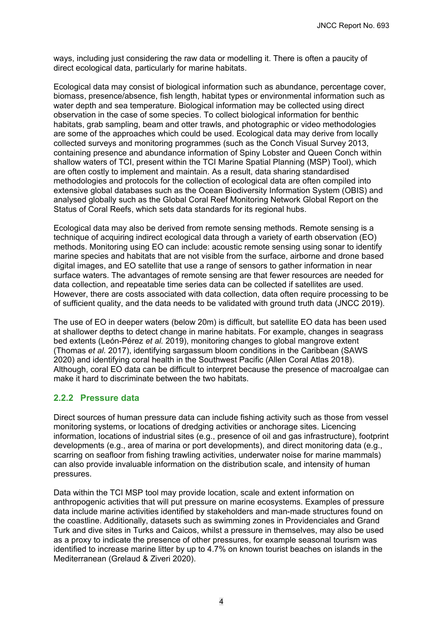ways, including just considering the raw data or modelling it. There is often a paucity of direct ecological data, particularly for marine habitats.

Ecological data may consist of biological information such as abundance, percentage cover, biomass, presence/absence, fish length, habitat types or environmental information such as water depth and sea temperature. Biological information may be collected using direct observation in the case of some species. To collect biological information for benthic habitats, grab sampling, beam and otter trawls, and photographic or video methodologies are some of the approaches which could be used. Ecological data may derive from locally collected surveys and monitoring programmes (such as the Conch Visual Survey 2013, containing presence and abundance information of Spiny Lobster and Queen Conch within shallow waters of TCI, present within the TCI Marine Spatial Planning (MSP) Tool), which are often costly to implement and maintain. As a result, data sharing standardised methodologies and protocols for the collection of ecological data are often compiled into extensive global databases such as the Ocean Biodiversity Information System (OBIS) and analysed globally such as the Global Coral Reef Monitoring Network Global Report on the Status of Coral Reefs, which sets data standards for its regional hubs.

Ecological data may also be derived from remote sensing methods. Remote sensing is a technique of acquiring indirect ecological data through a variety of earth observation (EO) methods. Monitoring using EO can include: acoustic remote sensing using sonar to identify marine species and habitats that are not visible from the surface, airborne and drone based digital images, and EO satellite that use a range of sensors to gather information in near surface waters. The advantages of remote sensing are that fewer resources are needed for data collection, and repeatable time series data can be collected if satellites are used. However, there are costs associated with data collection, data often require processing to be of sufficient quality, and the data needs to be validated with ground truth data (JNCC 2019).

The use of EO in deeper waters (below 20m) is difficult, but satellite EO data has been used at shallower depths to detect change in marine habitats. For example, changes in seagrass bed extents (León-Pérez *et al.* 2019), monitoring changes to global mangrove extent (Thomas *et al.* 2017), identifying sargassum bloom conditions in the Caribbean (SAWS 2020) and identifying coral health in the Southwest Pacific (Allen Coral Atlas 2018). Although, coral EO data can be difficult to interpret because the presence of macroalgae can make it hard to discriminate between the two habitats.

#### <span id="page-7-0"></span>**2.2.2 Pressure data**

Direct sources of human pressure data can include fishing activity such as those from vessel monitoring systems, or locations of dredging activities or anchorage sites. Licencing information, locations of industrial sites (e.g., presence of oil and gas infrastructure), footprint developments (e.g., area of marina or port developments), and direct monitoring data (e.g., scarring on seafloor from fishing trawling activities, underwater noise for marine mammals) can also provide invaluable information on the distribution scale, and intensity of human pressures.

Data within the TCI MSP tool may provide location, scale and extent information on anthropogenic activities that will put pressure on marine ecosystems. Examples of pressure data include marine activities identified by stakeholders and man-made structures found on the coastline. Additionally, datasets such as swimming zones in Providenciales and Grand Turk and dive sites in Turks and Caicos, whilst a pressure in themselves, may also be used as a proxy to indicate the presence of other pressures, for example seasonal tourism was identified to increase marine litter by up to 4.7% on known tourist beaches on islands in the Mediterranean (Grelaud & Ziveri 2020).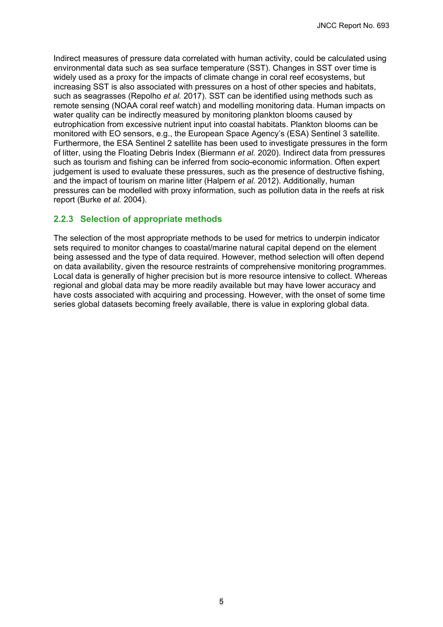Indirect measures of pressure data correlated with human activity, could be calculated using environmental data such as sea surface temperature (SST). Changes in SST over time is widely used as a proxy for the impacts of climate change in coral reef ecosystems, but increasing SST is also associated with pressures on a host of other species and habitats, such as seagrasses (Repolho *et al.* 2017). SST can be identified using methods such as remote sensing (NOAA coral reef watch) and modelling monitoring data. Human impacts on water quality can be indirectly measured by monitoring plankton blooms caused by eutrophication from excessive nutrient input into coastal habitats. Plankton blooms can be monitored with EO sensors, e.g., the European Space Agency's (ESA) Sentinel 3 satellite. Furthermore, the ESA Sentinel 2 satellite has been used to investigate pressures in the form of litter, using the Floating Debris Index (Biermann *et al.* 2020). Indirect data from pressures such as tourism and fishing can be inferred from socio-economic information. Often expert judgement is used to evaluate these pressures, such as the presence of destructive fishing, and the impact of tourism on marine litter (Halpern *et al.* 2012). Additionally, human pressures can be modelled with proxy information, such as pollution data in the reefs at risk report (Burke *et al.* 2004).

#### <span id="page-8-0"></span>**2.2.3 Selection of appropriate methods**

The selection of the most appropriate methods to be used for metrics to underpin indicator sets required to monitor changes to coastal/marine natural capital depend on the element being assessed and the type of data required. However, method selection will often depend on data availability, given the resource restraints of comprehensive monitoring programmes. Local data is generally of higher precision but is more resource intensive to collect. Whereas regional and global data may be more readily available but may have lower accuracy and have costs associated with acquiring and processing. However, with the onset of some time series global datasets becoming freely available, there is value in exploring global data.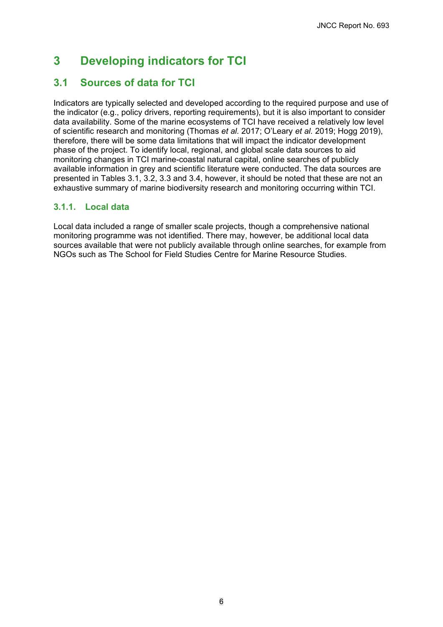# <span id="page-9-0"></span>**3 Developing indicators for TCI**

## <span id="page-9-1"></span>**3.1 Sources of data for TCI**

Indicators are typically selected and developed according to the required purpose and use of the indicator (e.g., policy drivers, reporting requirements), but it is also important to consider data availability. Some of the marine ecosystems of TCI have received a relatively low level of scientific research and monitoring (Thomas *et al.* 2017; O'Leary *et al.* 2019; Hogg 2019), therefore, there will be some data limitations that will impact the indicator development phase of the project. To identify local, regional, and global scale data sources to aid monitoring changes in TCI marine-coastal natural capital, online searches of publicly available information in grey and scientific literature were conducted. The data sources are presented in Tables 3.1, 3.2, 3.3 and 3.4, however, it should be noted that these are not an exhaustive summary of marine biodiversity research and monitoring occurring within TCI.

## <span id="page-9-2"></span>**3.1.1. Local data**

Local data included a range of smaller scale projects, though a comprehensive national monitoring programme was not identified. There may, however, be additional local data sources available that were not publicly available through online searches, for example from NGOs such as The School for Field Studies Centre for Marine Resource Studies.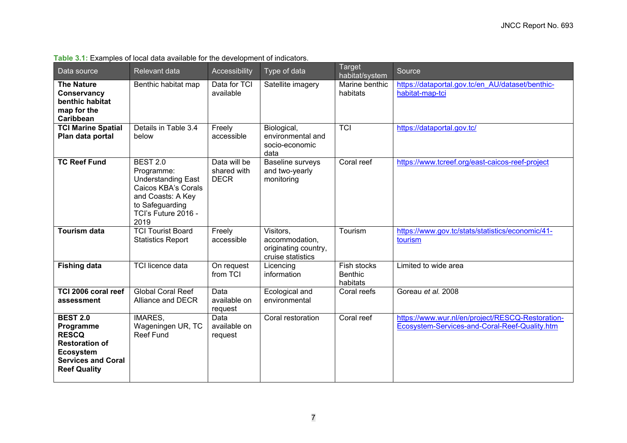<span id="page-10-0"></span>

| Data source                                                                                                                                   | Relevant data                                                                                                                                            | Accessibility                              | Type of data                                                             | Target<br>habitat/system                  | Source                                                                                            |
|-----------------------------------------------------------------------------------------------------------------------------------------------|----------------------------------------------------------------------------------------------------------------------------------------------------------|--------------------------------------------|--------------------------------------------------------------------------|-------------------------------------------|---------------------------------------------------------------------------------------------------|
| <b>The Nature</b><br>Conservancy<br>benthic habitat<br>map for the<br>Caribbean                                                               | Benthic habitat map                                                                                                                                      | Data for TCI<br>available                  | Satellite imagery                                                        | Marine benthic<br>habitats                | https://dataportal.gov.tc/en AU/dataset/benthic-<br>habitat-map-tci                               |
| <b>TCI Marine Spatial</b><br>Plan data portal                                                                                                 | Details in Table 3.4<br>below                                                                                                                            | Freely<br>accessible                       | Biological,<br>environmental and<br>socio-economic<br>data               | <b>TCI</b>                                | https://dataportal.gov.tc/                                                                        |
| <b>TC Reef Fund</b>                                                                                                                           | <b>BEST 2.0</b><br>Programme:<br><b>Understanding East</b><br>Caicos KBA's Corals<br>and Coasts: A Key<br>to Safeguarding<br>TCI's Future 2016 -<br>2019 | Data will be<br>shared with<br><b>DECR</b> | Baseline surveys<br>and two-yearly<br>monitoring                         | Coral reef                                | https://www.tcreef.org/east-caicos-reef-project                                                   |
| <b>Tourism data</b>                                                                                                                           | <b>TCI Tourist Board</b><br><b>Statistics Report</b>                                                                                                     | Freely<br>accessible                       | Visitors,<br>accommodation,<br>originating country,<br>cruise statistics | Tourism                                   | https://www.gov.tc/stats/statistics/economic/41-<br>tourism                                       |
| <b>Fishing data</b>                                                                                                                           | <b>TCI licence data</b>                                                                                                                                  | On request<br>from TCI                     | Licencing<br>information                                                 | Fish stocks<br><b>Benthic</b><br>habitats | Limited to wide area                                                                              |
| TCI 2006 coral reef<br>assessment                                                                                                             | <b>Global Coral Reef</b><br>Alliance and DECR                                                                                                            | Data<br>available on<br>request            | Ecological and<br>environmental                                          | Coral reefs                               | Goreau et al. 2008                                                                                |
| <b>BEST 2.0</b><br>Programme<br><b>RESCQ</b><br><b>Restoration of</b><br><b>Ecosystem</b><br><b>Services and Coral</b><br><b>Reef Quality</b> | <b>IMARES,</b><br>Wageningen UR, TC<br><b>Reef Fund</b>                                                                                                  | Data<br>available on<br>request            | Coral restoration                                                        | Coral reef                                | https://www.wur.nl/en/project/RESCQ-Restoration-<br>Ecosystem-Services-and-Coral-Reef-Quality.htm |

#### **Table 3.1:** Examples of local data available for the development of indicators.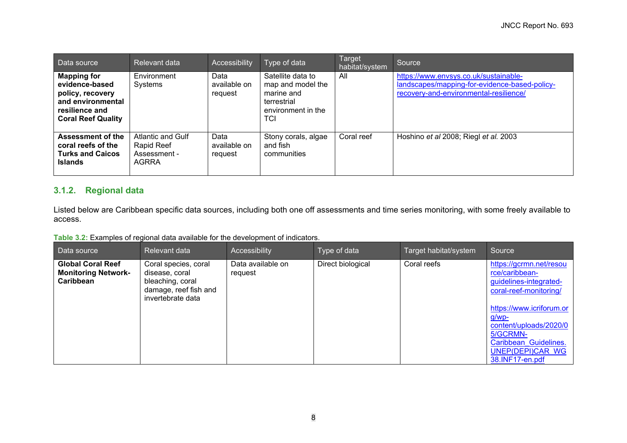| Data source                                                                                                                  | Relevant data                                                   | Accessibility                   | Type of data                                                                                     | Target<br>habitat/system | Source                                                                                                                           |
|------------------------------------------------------------------------------------------------------------------------------|-----------------------------------------------------------------|---------------------------------|--------------------------------------------------------------------------------------------------|--------------------------|----------------------------------------------------------------------------------------------------------------------------------|
| <b>Mapping for</b><br>evidence-based<br>policy, recovery<br>and environmental<br>resilience and<br><b>Coral Reef Quality</b> | Environment<br>Systems                                          | Data<br>available on<br>request | Satellite data to<br>map and model the<br>marine and<br>terrestrial<br>environment in the<br>TCI | All                      | https://www.envsys.co.uk/sustainable-<br>landscapes/mapping-for-evidence-based-policy-<br>recovery-and-environmental-resilience/ |
| <b>Assessment of the</b><br>coral reefs of the<br><b>Turks and Caicos</b><br><b>Islands</b>                                  | Atlantic and Gulf<br>Rapid Reef<br>Assessment -<br><b>AGRRA</b> | Data<br>available on<br>request | Stony corals, algae<br>and fish<br>communities                                                   | Coral reef               | Hoshino et al 2008; Riegl et al. 2003                                                                                            |

## **3.1.2. Regional data**

Listed below are Caribbean specific data sources, including both one off assessments and time series monitoring, with some freely available to access.

**Table 3.2:** Examples of regional data available for the development of indicators.

<span id="page-11-1"></span><span id="page-11-0"></span>

| Data source                                                         | Relevant data                                                                                            | Accessibility                | Type of data      | Target habitat/system | Source                                                                                                                                                                                                                                          |
|---------------------------------------------------------------------|----------------------------------------------------------------------------------------------------------|------------------------------|-------------------|-----------------------|-------------------------------------------------------------------------------------------------------------------------------------------------------------------------------------------------------------------------------------------------|
| <b>Global Coral Reef</b><br><b>Monitoring Network-</b><br>Caribbean | Coral species, coral<br>disease, coral<br>bleaching, coral<br>damage, reef fish and<br>invertebrate data | Data available on<br>request | Direct biological | Coral reefs           | https://gcrmn.net/resou<br>rce/caribbean-<br>guidelines-integrated-<br>coral-reef-monitoring/<br>https://www.icriforum.or<br><u>g/wp-</u><br>content/uploads/2020/0<br>5/GCRMN-<br>Caribbean Guidelines.<br>UNEP(DEPI)CAR WG<br>38.INF17-en.pdf |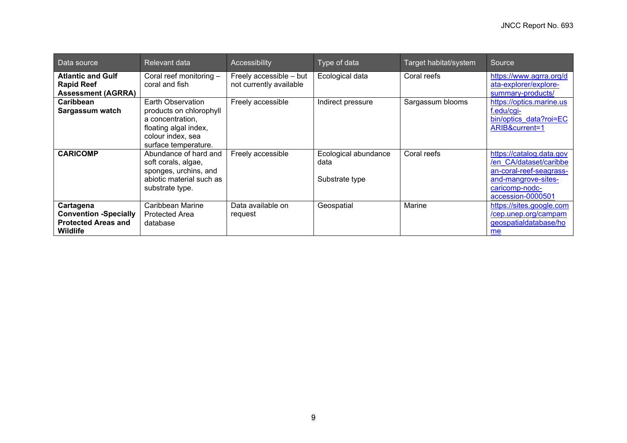| Data source                                                                                | Relevant data                                                                                                                          | Accessibility                                      | Type of data                                   | Target habitat/system | Source                                                                                                                                      |
|--------------------------------------------------------------------------------------------|----------------------------------------------------------------------------------------------------------------------------------------|----------------------------------------------------|------------------------------------------------|-----------------------|---------------------------------------------------------------------------------------------------------------------------------------------|
| <b>Atlantic and Gulf</b><br><b>Rapid Reef</b><br><b>Assessment (AGRRA)</b>                 | Coral reef monitoring -<br>coral and fish                                                                                              | Freely accessible - but<br>not currently available | Ecological data                                | Coral reefs           | https://www.agrra.org/d<br>ata-explorer/explore-<br>summary-products/                                                                       |
| Caribbean<br>Sargassum watch                                                               | Earth Observation<br>products on chlorophyll<br>a concentration.<br>floating algal index,<br>colour index, sea<br>surface temperature. | Freely accessible                                  | Indirect pressure                              | Sargassum blooms      | https://optics.marine.us<br>f.edu/cgi-<br>bin/optics data?roi=EC<br>ARIB&current=1                                                          |
| <b>CARICOMP</b>                                                                            | Abundance of hard and<br>soft corals, algae,<br>sponges, urchins, and<br>abiotic material such as<br>substrate type.                   | Freely accessible                                  | Ecological abundance<br>data<br>Substrate type | Coral reefs           | https://catalog.data.gov<br>/en CA/dataset/caribbe<br>an-coral-reef-seagrass-<br>and-mangrove-sites-<br>caricomp-nodc-<br>accession-0000501 |
| Cartagena<br><b>Convention -Specially</b><br><b>Protected Areas and</b><br><b>Wildlife</b> | Caribbean Marine<br><b>Protected Area</b><br>database                                                                                  | Data available on<br>request                       | Geospatial                                     | Marine                | https://sites.google.com<br>/cep.unep.org/campam<br>geospatialdatabase/ho<br>me                                                             |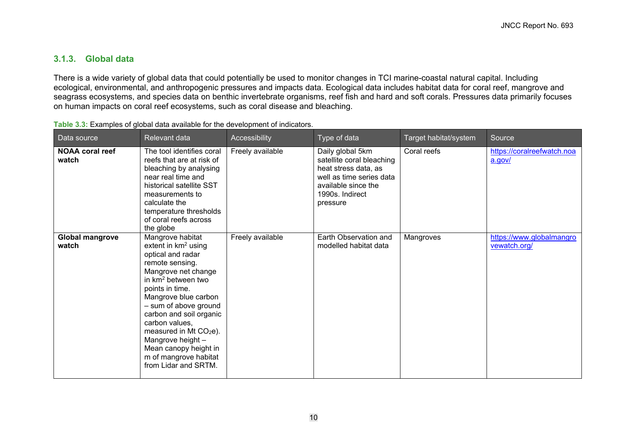## **3.1.3. Global data**

There is a wide variety of global data that could potentially be used to monitor changes in TCI marine-coastal natural capital. Including ecological, environmental, and anthropogenic pressures and impacts data. Ecological data includes habitat data for coral reef, mangrove and seagrass ecosystems, and species data on benthic invertebrate organisms, reef fish and hard and soft corals. Pressures data primarily focuses on human impacts on coral reef ecosystems, such as coral disease and bleaching.

<span id="page-13-1"></span><span id="page-13-0"></span>

| Data source                     | <b>Relevant data</b>                                                                                                                                                                                                                                                                                                                                                                     | Accessibility    | Type of data                                                                                                                                            | Target habitat/system | Source                                   |
|---------------------------------|------------------------------------------------------------------------------------------------------------------------------------------------------------------------------------------------------------------------------------------------------------------------------------------------------------------------------------------------------------------------------------------|------------------|---------------------------------------------------------------------------------------------------------------------------------------------------------|-----------------------|------------------------------------------|
| <b>NOAA coral reef</b><br>watch | The tool identifies coral<br>reefs that are at risk of<br>bleaching by analysing<br>near real time and<br>historical satellite SST<br>measurements to<br>calculate the<br>temperature thresholds<br>of coral reefs across<br>the globe                                                                                                                                                   | Freely available | Daily global 5km<br>satellite coral bleaching<br>heat stress data, as<br>well as time series data<br>available since the<br>1990s. Indirect<br>pressure | Coral reefs           | https://coralreefwatch.noa<br>a.gov/     |
| <b>Global mangrove</b><br>watch | Mangrove habitat<br>extent in $km^2$ using<br>optical and radar<br>remote sensing.<br>Mangrove net change<br>in $km^2$ between two<br>points in time.<br>Mangrove blue carbon<br>- sum of above ground<br>carbon and soil organic<br>carbon values,<br>measured in Mt CO <sub>2</sub> e).<br>Mangrove height -<br>Mean canopy height in<br>m of mangrove habitat<br>from Lidar and SRTM. | Freely available | Earth Observation and<br>modelled habitat data                                                                                                          | Mangroves             | https://www.globalmangro<br>vewatch.org/ |

**Table 3.3:** Examples of global data available for the development of indicators.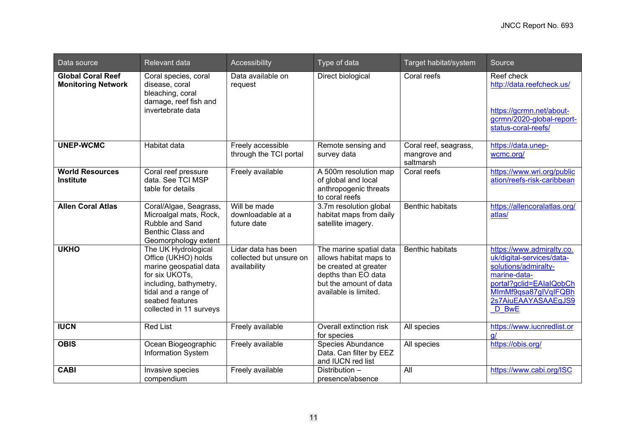| Data source                                           | Relevant data                                                                                                                                                                          | Accessibility                                                  | Type of data                                                                                                                                         | Target habitat/system                              | Source                                                                                                                                                                            |
|-------------------------------------------------------|----------------------------------------------------------------------------------------------------------------------------------------------------------------------------------------|----------------------------------------------------------------|------------------------------------------------------------------------------------------------------------------------------------------------------|----------------------------------------------------|-----------------------------------------------------------------------------------------------------------------------------------------------------------------------------------|
| <b>Global Coral Reef</b><br><b>Monitoring Network</b> | Coral species, coral<br>disease, coral<br>bleaching, coral<br>damage, reef fish and<br>invertebrate data                                                                               | Data available on<br>request                                   | Direct biological                                                                                                                                    | Coral reefs                                        | Reef check<br>http://data.reefcheck.us/<br>https://gcrmn.net/about-<br>gcrmn/2020-global-report-<br>status-coral-reefs/                                                           |
| <b>UNEP-WCMC</b>                                      | <b>Habitat data</b>                                                                                                                                                                    | Freely accessible<br>through the TCI portal                    | Remote sensing and<br>survey data                                                                                                                    | Coral reef, seagrass,<br>mangrove and<br>saltmarsh | https://data.unep-<br>wcmc.org/                                                                                                                                                   |
| <b>World Resources</b><br>Institute                   | Coral reef pressure<br>data. See TCI MSP<br>table for details                                                                                                                          | Freely available                                               | A 500m resolution map<br>of global and local<br>anthropogenic threats<br>to coral reefs                                                              | Coral reefs                                        | https://www.wri.org/public<br>ation/reefs-risk-caribbean                                                                                                                          |
| <b>Allen Coral Atlas</b>                              | Coral/Algae, Seagrass,<br>Microalgal mats, Rock,<br>Rubble and Sand<br><b>Benthic Class and</b><br>Geomorphology extent                                                                | Will be made<br>downloadable at a<br>future date               | 3.7m resolution global<br>habitat maps from daily<br>satellite imagery.                                                                              | <b>Benthic habitats</b>                            | https://allencoralatlas.org/<br>atlas/                                                                                                                                            |
| <b>UKHO</b>                                           | The UK Hydrological<br>Office (UKHO) holds<br>marine geospatial data<br>for six UKOTs,<br>including, bathymetry,<br>tidal and a range of<br>seabed features<br>collected in 11 surveys | Lidar data has been<br>collected but unsure on<br>availability | The marine spatial data<br>allows habitat maps to<br>be created at greater<br>depths than EO data<br>but the amount of data<br>available is limited. | <b>Benthic habitats</b>                            | https://www.admiralty.co.<br>uk/digital-services/data-<br>solutions/admiralty-<br>marine-data-<br>portal?gclid=EAIaIQobCh<br>MImMf9qsa87glVqIFQBh<br>2s7AiuEAAYASAAEgJS9<br>D BwE |
| <b>IUCN</b>                                           | <b>Red List</b>                                                                                                                                                                        | Freely available                                               | Overall extinction risk<br>for species                                                                                                               | All species                                        | https://www.iucnredlist.or<br>q/                                                                                                                                                  |
| <b>OBIS</b>                                           | Ocean Biogeographic<br><b>Information System</b>                                                                                                                                       | Freely available                                               | Species Abundance<br>Data. Can filter by EEZ<br>and IUCN red list                                                                                    | All species                                        | https://obis.org/                                                                                                                                                                 |
| <b>CABI</b>                                           | Invasive species<br>compendium                                                                                                                                                         | Freely available                                               | Distribution -<br>presence/absence                                                                                                                   | All                                                | https://www.cabi.org/ISC                                                                                                                                                          |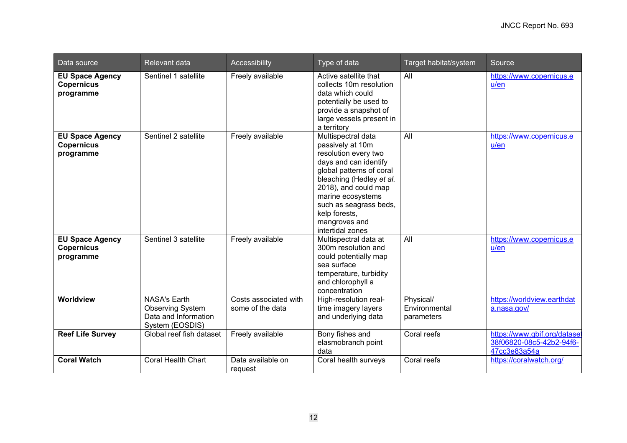| Data source                                              | Relevant data                                                                             | Accessibility                             | Type of data                                                                                                                                                                                                                                                                 | Target habitat/system                    | Source                                                                   |
|----------------------------------------------------------|-------------------------------------------------------------------------------------------|-------------------------------------------|------------------------------------------------------------------------------------------------------------------------------------------------------------------------------------------------------------------------------------------------------------------------------|------------------------------------------|--------------------------------------------------------------------------|
| <b>EU Space Agency</b><br><b>Copernicus</b><br>programme | Sentinel 1 satellite                                                                      | Freely available                          | Active satellite that<br>collects 10m resolution<br>data which could<br>potentially be used to<br>provide a snapshot of<br>large vessels present in<br>a territory                                                                                                           | All                                      | https://www.copernicus.e<br>u/en                                         |
| <b>EU Space Agency</b><br><b>Copernicus</b><br>programme | Sentinel 2 satellite                                                                      | Freely available                          | Multispectral data<br>passively at 10m<br>resolution every two<br>days and can identify<br>global patterns of coral<br>bleaching (Hedley et al.<br>2018), and could map<br>marine ecosystems<br>such as seagrass beds,<br>kelp forests,<br>mangroves and<br>intertidal zones | All                                      | https://www.copernicus.e<br>u/en                                         |
| <b>EU Space Agency</b><br><b>Copernicus</b><br>programme | Sentinel 3 satellite                                                                      | Freely available                          | Multispectral data at<br>300m resolution and<br>could potentially map<br>sea surface<br>temperature, turbidity<br>and chlorophyll a<br>concentration                                                                                                                         | All                                      | https://www.copernicus.e<br>u/en                                         |
| Worldview                                                | <b>NASA's Earth</b><br><b>Observing System</b><br>Data and Information<br>System (EOSDIS) | Costs associated with<br>some of the data | High-resolution real-<br>time imagery layers<br>and underlying data                                                                                                                                                                                                          | Physical/<br>Environmental<br>parameters | https://worldview.earthdat<br>a.nasa.gov/                                |
| <b>Reef Life Survey</b>                                  | Global reef fish dataset                                                                  | Freely available                          | Bony fishes and<br>elasmobranch point<br>data                                                                                                                                                                                                                                | Coral reefs                              | https://www.gbif.org/dataset<br>38f06820-08c5-42b2-94f6-<br>47cc3e83a54a |
| <b>Coral Watch</b>                                       | <b>Coral Health Chart</b>                                                                 | Data available on<br>request              | Coral health surveys                                                                                                                                                                                                                                                         | Coral reefs                              | https://coralwatch.org/                                                  |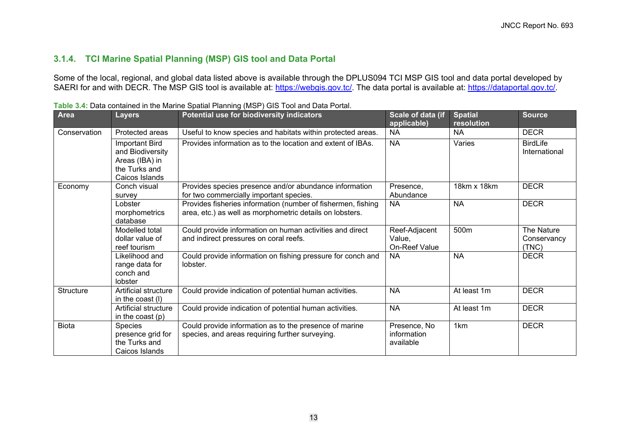## **3.1.4. TCI Marine Spatial Planning (MSP) GIS tool and Data Portal**

Some of the local, regional, and global data listed above is available through the DPLUS094 TCI MSP GIS tool and data portal developed by SAERI for and with DECR. The MSP GIS tool is available at: <u>https://webgis.gov.tc/</u>. The data portal is available at: <u>https://dataportal.gov.tc/</u>.

<span id="page-16-1"></span><span id="page-16-0"></span>

| <b>Area</b>      | <b>Layers</b>                                                                           | Potential use for biodiversity indicators                                                                                | Scale of data (if<br>applicable)         | <b>Spatial</b><br>resolution | <b>Source</b>                      |
|------------------|-----------------------------------------------------------------------------------------|--------------------------------------------------------------------------------------------------------------------------|------------------------------------------|------------------------------|------------------------------------|
| Conservation     | Protected areas                                                                         | Useful to know species and habitats within protected areas.                                                              | <b>NA</b>                                | <b>NA</b>                    | <b>DECR</b>                        |
|                  | Important Bird<br>and Biodiversity<br>Areas (IBA) in<br>the Turks and<br>Caicos Islands | Provides information as to the location and extent of IBAs.                                                              | <b>NA</b>                                | Varies                       | <b>BirdLife</b><br>International   |
| Economy          | Conch visual<br>survey                                                                  | Provides species presence and/or abundance information<br>for two commercially important species.                        | Presence,<br>Abundance                   | 18km x 18km                  | <b>DECR</b>                        |
|                  | Lobster<br>morphometrics<br>database                                                    | Provides fisheries information (number of fishermen, fishing<br>area, etc.) as well as morphometric details on lobsters. | <b>NA</b>                                | <b>NA</b>                    | <b>DECR</b>                        |
|                  | Modelled total<br>dollar value of<br>reef tourism                                       | Could provide information on human activities and direct<br>and indirect pressures on coral reefs.                       | Reef-Adjacent<br>Value,<br>On-Reef Value | 500m                         | The Nature<br>Conservancy<br>(TNC) |
|                  | Likelihood and<br>range data for<br>conch and<br>lobster                                | Could provide information on fishing pressure for conch and<br>lobster.                                                  | <b>NA</b>                                | <b>NA</b>                    | <b>DECR</b>                        |
| <b>Structure</b> | Artificial structure<br>in the coast $(I)$                                              | Could provide indication of potential human activities.                                                                  | <b>NA</b>                                | At least 1m                  | <b>DECR</b>                        |
|                  | Artificial structure<br>in the coast $(p)$                                              | Could provide indication of potential human activities.                                                                  | <b>NA</b>                                | At least 1m                  | <b>DECR</b>                        |
| <b>Biota</b>     | Species<br>presence grid for<br>the Turks and<br>Caicos Islands                         | Could provide information as to the presence of marine<br>species, and areas requiring further surveying.                | Presence, No<br>information<br>available | 1 <sub>km</sub>              | <b>DECR</b>                        |

|--|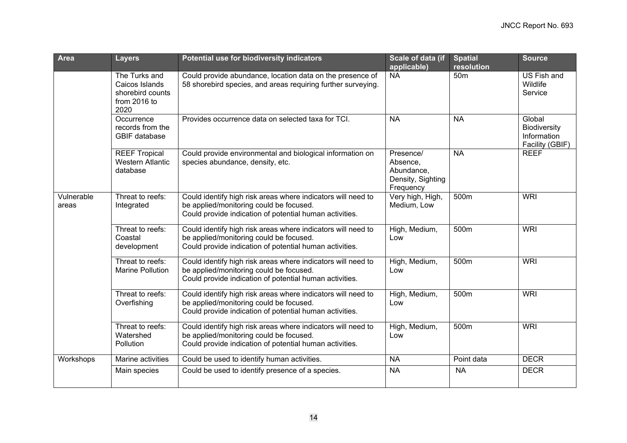| <b>Area</b>         | <b>Layers</b>                                                               | Potential use for biodiversity indicators                                                                                                                          | Scale of data (if<br>applicable)                                      | <b>Spatial</b><br>resolution | <b>Source</b>                                            |
|---------------------|-----------------------------------------------------------------------------|--------------------------------------------------------------------------------------------------------------------------------------------------------------------|-----------------------------------------------------------------------|------------------------------|----------------------------------------------------------|
|                     | The Turks and<br>Caicos Islands<br>shorebird counts<br>from 2016 to<br>2020 | Could provide abundance, location data on the presence of<br>58 shorebird species, and areas requiring further surveying.                                          | <b>NA</b>                                                             | 50 <sub>m</sub>              | US Fish and<br>Wildlife<br>Service                       |
|                     | Occurrence<br>records from the<br><b>GBIF</b> database                      | Provides occurrence data on selected taxa for TCI.                                                                                                                 | <b>NA</b>                                                             | <b>NA</b>                    | Global<br>Biodiversity<br>Information<br>Facility (GBIF) |
|                     | <b>REEF Tropical</b><br><b>Western Atlantic</b><br>database                 | Could provide environmental and biological information on<br>species abundance, density, etc.                                                                      | Presence/<br>Absence,<br>Abundance,<br>Density, Sighting<br>Frequency | <b>NA</b>                    | <b>REEF</b>                                              |
| Vulnerable<br>areas | Threat to reefs:<br>Integrated                                              | Could identify high risk areas where indicators will need to<br>be applied/monitoring could be focused.<br>Could provide indication of potential human activities. | Very high, High,<br>Medium, Low                                       | 500m                         | <b>WRI</b>                                               |
|                     | Threat to reefs:<br>Coastal<br>development                                  | Could identify high risk areas where indicators will need to<br>be applied/monitoring could be focused.<br>Could provide indication of potential human activities. | High, Medium,<br>Low                                                  | 500m                         | <b>WRI</b>                                               |
|                     | Threat to reefs:<br><b>Marine Pollution</b>                                 | Could identify high risk areas where indicators will need to<br>be applied/monitoring could be focused.<br>Could provide indication of potential human activities. | High, Medium,<br>Low                                                  | 500m                         | <b>WRI</b>                                               |
|                     | Threat to reefs:<br>Overfishing                                             | Could identify high risk areas where indicators will need to<br>be applied/monitoring could be focused.<br>Could provide indication of potential human activities. | High, Medium,<br>Low                                                  | 500m                         | <b>WRI</b>                                               |
|                     | Threat to reefs:<br>Watershed<br>Pollution                                  | Could identify high risk areas where indicators will need to<br>be applied/monitoring could be focused.<br>Could provide indication of potential human activities. | High, Medium,<br>Low                                                  | 500m                         | <b>WRI</b>                                               |
| Workshops           | Marine activities                                                           | Could be used to identify human activities.                                                                                                                        | <b>NA</b>                                                             | Point data                   | <b>DECR</b>                                              |
|                     | Main species                                                                | Could be used to identify presence of a species.                                                                                                                   | <b>NA</b>                                                             | <b>NA</b>                    | <b>DECR</b>                                              |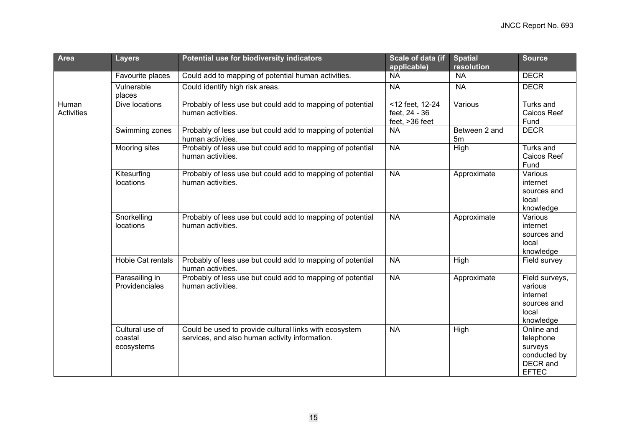| <b>Area</b>         | <b>Layers</b>                            | Potential use for biodiversity indicators                                                                | Scale of data (if<br>applicable)                   | <b>Spatial</b><br>resolution | <b>Source</b>                                                                  |
|---------------------|------------------------------------------|----------------------------------------------------------------------------------------------------------|----------------------------------------------------|------------------------------|--------------------------------------------------------------------------------|
|                     | Favourite places                         | Could add to mapping of potential human activities.                                                      | <b>NA</b>                                          | <b>NA</b>                    | <b>DECR</b>                                                                    |
|                     | Vulnerable<br>places                     | Could identify high risk areas.                                                                          | <b>NA</b>                                          | <b>NA</b>                    | <b>DECR</b>                                                                    |
| Human<br>Activities | Dive locations                           | Probably of less use but could add to mapping of potential<br>human activities.                          | <12 feet, 12-24<br>feet, 24 - 36<br>feet, >36 feet | Various                      | Turks and<br>Caicos Reef<br>Fund                                               |
|                     | Swimming zones                           | Probably of less use but could add to mapping of potential<br>human activities.                          | <b>NA</b>                                          | Between 2 and<br>5m          | <b>DECR</b>                                                                    |
|                     | Mooring sites                            | Probably of less use but could add to mapping of potential<br>human activities.                          | <b>NA</b>                                          | High                         | Turks and<br>Caicos Reef<br>Fund                                               |
|                     | Kitesurfing<br>locations                 | Probably of less use but could add to mapping of potential<br>human activities.                          | <b>NA</b>                                          | Approximate                  | Various<br>internet<br>sources and<br>local<br>knowledge                       |
|                     | Snorkelling<br>locations                 | Probably of less use but could add to mapping of potential<br>human activities.                          | <b>NA</b>                                          | Approximate                  | Various<br>internet<br>sources and<br>local<br>knowledge                       |
|                     | <b>Hobie Cat rentals</b>                 | Probably of less use but could add to mapping of potential<br>human activities.                          | <b>NA</b>                                          | High                         | Field survey                                                                   |
|                     | Parasailing in<br>Providenciales         | Probably of less use but could add to mapping of potential<br>human activities.                          | <b>NA</b>                                          | Approximate                  | Field surveys,<br>various<br>internet<br>sources and<br>local<br>knowledge     |
|                     | Cultural use of<br>coastal<br>ecosystems | Could be used to provide cultural links with ecosystem<br>services, and also human activity information. | <b>NA</b>                                          | High                         | Online and<br>telephone<br>surveys<br>conducted by<br>DECR and<br><b>EFTEC</b> |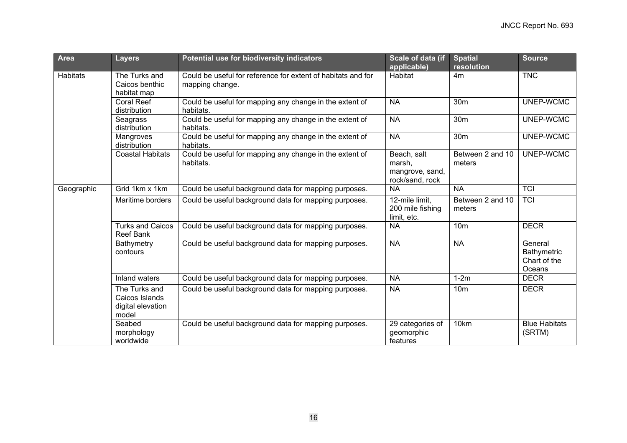| <b>Area</b>     | <b>Layers</b>                                                 | Potential use for biodiversity indicators                                       | Scale of data (if<br>applicable)                            | <b>Spatial</b><br>resolution | <b>Source</b>                                    |
|-----------------|---------------------------------------------------------------|---------------------------------------------------------------------------------|-------------------------------------------------------------|------------------------------|--------------------------------------------------|
| <b>Habitats</b> | The Turks and<br>Caicos benthic<br>habitat map                | Could be useful for reference for extent of habitats and for<br>mapping change. | <b>Habitat</b>                                              | 4m                           | <b>TNC</b>                                       |
|                 | <b>Coral Reef</b><br>distribution                             | Could be useful for mapping any change in the extent of<br>habitats.            | <b>NA</b>                                                   | 30 <sub>m</sub>              | UNEP-WCMC                                        |
|                 | Seagrass<br>distribution                                      | Could be useful for mapping any change in the extent of<br>habitats.            | <b>NA</b>                                                   | 30 <sub>m</sub>              | UNEP-WCMC                                        |
|                 | Mangroves<br>distribution                                     | Could be useful for mapping any change in the extent of<br>habitats.            | <b>NA</b>                                                   | 30 <sub>m</sub>              | UNEP-WCMC                                        |
|                 | <b>Coastal Habitats</b>                                       | Could be useful for mapping any change in the extent of<br>habitats.            | Beach, salt<br>marsh,<br>mangrove, sand,<br>rock/sand, rock | Between 2 and 10<br>meters   | UNEP-WCMC                                        |
| Geographic      | Grid 1km x 1km                                                | Could be useful background data for mapping purposes.                           | <b>NA</b>                                                   | <b>NA</b>                    | <b>TCI</b>                                       |
|                 | Maritime borders                                              | Could be useful background data for mapping purposes.                           | 12-mile limit,<br>200 mile fishing<br>limit, etc.           | Between 2 and 10<br>meters   | <b>TCI</b>                                       |
|                 | <b>Turks and Caicos</b><br><b>Reef Bank</b>                   | Could be useful background data for mapping purposes.                           | <b>NA</b>                                                   | 10 <sub>m</sub>              | <b>DECR</b>                                      |
|                 | Bathymetry<br>contours                                        | Could be useful background data for mapping purposes.                           | <b>NA</b>                                                   | <b>NA</b>                    | General<br>Bathymetric<br>Chart of the<br>Oceans |
|                 | Inland waters                                                 | Could be useful background data for mapping purposes.                           | <b>NA</b>                                                   | $1-2m$                       | <b>DECR</b>                                      |
|                 | The Turks and<br>Caicos Islands<br>digital elevation<br>model | Could be useful background data for mapping purposes.                           | <b>NA</b>                                                   | 10 <sub>m</sub>              | <b>DECR</b>                                      |
|                 | Seabed<br>morphology<br>worldwide                             | Could be useful background data for mapping purposes.                           | 29 categories of<br>geomorphic<br>features                  | 10km                         | <b>Blue Habitats</b><br>(SRTM)                   |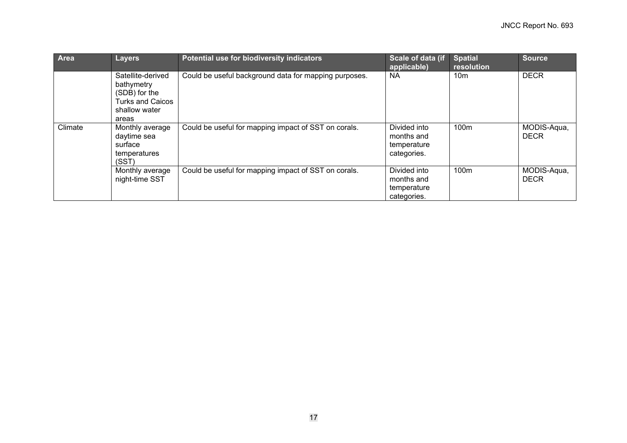| Area    | <b>Layers</b>                                                                                         | Potential use for biodiversity indicators             | Scale of data (if<br>applicable)                         | <b>Spatial</b><br>resolution | Source                     |
|---------|-------------------------------------------------------------------------------------------------------|-------------------------------------------------------|----------------------------------------------------------|------------------------------|----------------------------|
|         | Satellite-derived<br>bathymetry<br>(SDB) for the<br><b>Turks and Caicos</b><br>shallow water<br>areas | Could be useful background data for mapping purposes. | <b>NA</b>                                                | 10 <sub>m</sub>              | <b>DECR</b>                |
| Climate | Monthly average<br>daytime sea<br>surface<br>temperatures<br>(SST)                                    | Could be useful for mapping impact of SST on corals.  | Divided into<br>months and<br>temperature<br>categories. | 100m                         | MODIS-Aqua,<br><b>DECR</b> |
|         | Monthly average<br>night-time SST                                                                     | Could be useful for mapping impact of SST on corals.  | Divided into<br>months and<br>temperature<br>categories. | 100m                         | MODIS-Aqua,<br><b>DECR</b> |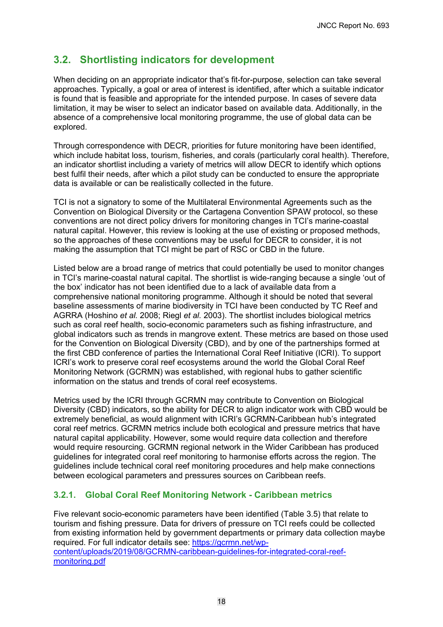## <span id="page-21-0"></span>**3.2. Shortlisting indicators for development**

When deciding on an appropriate indicator that's fit-for-purpose, selection can take several approaches. Typically, a goal or area of interest is identified, after which a suitable indicator is found that is feasible and appropriate for the intended purpose. In cases of severe data limitation, it may be wiser to select an indicator based on available data. Additionally, in the absence of a comprehensive local monitoring programme, the use of global data can be explored.

Through correspondence with DECR, priorities for future monitoring have been identified, which include habitat loss, tourism, fisheries, and corals (particularly coral health). Therefore, an indicator shortlist including a variety of metrics will allow DECR to identify which options best fulfil their needs, after which a pilot study can be conducted to ensure the appropriate data is available or can be realistically collected in the future.

TCI is not a signatory to some of the Multilateral Environmental Agreements such as the Convention on Biological Diversity or the Cartagena Convention SPAW protocol, so these conventions are not direct policy drivers for monitoring changes in TCI's marine-coastal natural capital. However, this review is looking at the use of existing or proposed methods, so the approaches of these conventions may be useful for DECR to consider, it is not making the assumption that TCI might be part of RSC or CBD in the future.

Listed below are a broad range of metrics that could potentially be used to monitor changes in TCI's marine-coastal natural capital. The shortlist is wide-ranging because a single 'out of the box' indicator has not been identified due to a lack of available data from a comprehensive national monitoring programme. Although it should be noted that several baseline assessments of marine biodiversity in TCI have been conducted by TC Reef and AGRRA (Hoshino *et al.* 2008; Riegl *et al.* 2003). The shortlist includes biological metrics such as coral reef health, socio-economic parameters such as fishing infrastructure, and global indicators such as trends in mangrove extent. These metrics are based on those used for the Convention on Biological Diversity (CBD), and by one of the partnerships formed at the first CBD conference of parties the International Coral Reef Initiative (ICRI). To support ICRI's work to preserve coral reef ecosystems around the world the Global Coral Reef Monitoring Network (GCRMN) was established, with regional hubs to gather scientific information on the status and trends of coral reef ecosystems.

Metrics used by the ICRI through GCRMN may contribute to Convention on Biological Diversity (CBD) indicators, so the ability for DECR to align indicator work with CBD would be extremely beneficial, as would alignment with ICRI's GCRMN-Caribbean hub's integrated coral reef metrics. GCRMN metrics include both ecological and pressure metrics that have natural capital applicability. However, some would require data collection and therefore would require resourcing. GCRMN regional network in the Wider Caribbean has produced guidelines for integrated coral reef monitoring to harmonise efforts across the region. The guidelines include technical coral reef monitoring procedures and help make connections between ecological parameters and pressures sources on Caribbean reefs.

## <span id="page-21-1"></span>**3.2.1. Global Coral Reef Monitoring Network - Caribbean metrics**

Five relevant socio-economic parameters have been identified (Table 3.5) that relate to tourism and fishing pressure. Data for drivers of pressure on TCI reefs could be collected from existing information held by government departments or primary data collection maybe required. For full indicator details see: [https://gcrmn.net/wp](https://gcrmn.net/wp-content/uploads/2019/08/GCRMN-caribbean-guidelines-for-integrated-coral-reef-monitoring.pdf)[content/uploads/2019/08/GCRMN-caribbean-guidelines-for-integrated-coral-reef](https://gcrmn.net/wp-content/uploads/2019/08/GCRMN-caribbean-guidelines-for-integrated-coral-reef-monitoring.pdf)[monitoring.pdf](https://gcrmn.net/wp-content/uploads/2019/08/GCRMN-caribbean-guidelines-for-integrated-coral-reef-monitoring.pdf)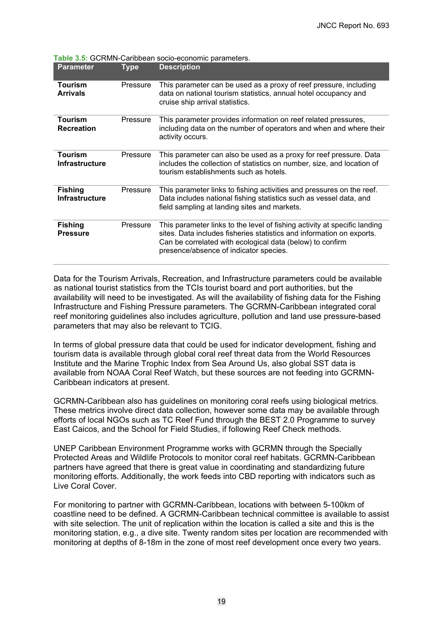| <b>Parameter</b>                        | Type     | <b>Description</b>                                                                                                                                                                                                                                        |
|-----------------------------------------|----------|-----------------------------------------------------------------------------------------------------------------------------------------------------------------------------------------------------------------------------------------------------------|
| Tourism<br><b>Arrivals</b>              | Pressure | This parameter can be used as a proxy of reef pressure, including<br>data on national tourism statistics, annual hotel occupancy and<br>cruise ship arrival statistics.                                                                                   |
| <b>Tourism</b><br><b>Recreation</b>     | Pressure | This parameter provides information on reef related pressures,<br>including data on the number of operators and when and where their<br>activity occurs.                                                                                                  |
| <b>Tourism</b><br><b>Infrastructure</b> | Pressure | This parameter can also be used as a proxy for reef pressure. Data<br>includes the collection of statistics on number, size, and location of<br>tourism establishments such as hotels.                                                                    |
| <b>Fishing</b><br><b>Infrastructure</b> | Pressure | This parameter links to fishing activities and pressures on the reef.<br>Data includes national fishing statistics such as vessel data, and<br>field sampling at landing sites and markets.                                                               |
| <b>Fishing</b><br><b>Pressure</b>       | Pressure | This parameter links to the level of fishing activity at specific landing<br>sites. Data includes fisheries statistics and information on exports.<br>Can be correlated with ecological data (below) to confirm<br>presence/absence of indicator species. |

<span id="page-22-0"></span>**Table 3.5:** GCRMN-Caribbean socio-economic parameters.

Data for the Tourism Arrivals, Recreation, and Infrastructure parameters could be available as national tourist statistics from the TCIs tourist board and port authorities, but the availability will need to be investigated. As will the availability of fishing data for the Fishing Infrastructure and Fishing Pressure parameters. The GCRMN-Caribbean integrated coral reef monitoring guidelines also includes agriculture, pollution and land use pressure-based parameters that may also be relevant to TCIG.

In terms of global pressure data that could be used for indicator development, fishing and tourism data is available through global coral reef threat data from the World Resources Institute and the Marine Trophic Index from Sea Around Us, also global SST data is available from NOAA Coral Reef Watch, but these sources are not feeding into GCRMN-Caribbean indicators at present.

GCRMN-Caribbean also has guidelines on monitoring coral reefs using biological metrics. These metrics involve direct data collection, however some data may be available through efforts of local NGOs such as TC Reef Fund through the BEST 2.0 Programme to survey East Caicos, and the School for Field Studies, if following Reef Check methods.

UNEP Caribbean Environment Programme works with GCRMN through the Specially Protected Areas and Wildlife Protocols to monitor coral reef habitats. GCRMN-Caribbean partners have agreed that there is great value in coordinating and standardizing future monitoring efforts. Additionally, the work feeds into CBD reporting with indicators such as Live Coral Cover.

For monitoring to partner with GCRMN-Caribbean, locations with between 5-100km of coastline need to be defined. A GCRMN-Caribbean technical committee is available to assist with site selection. The unit of replication within the location is called a site and this is the monitoring station, e.g., a dive site. Twenty random sites per location are recommended with monitoring at depths of 8-18m in the zone of most reef development once every two years.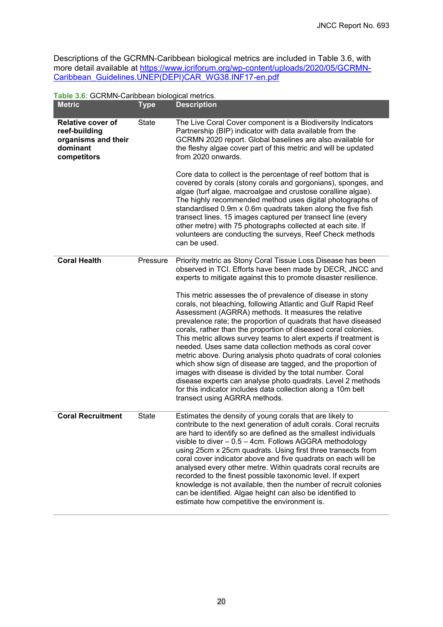Descriptions of the GCRMN-Caribbean biological metrics are included in Table 3.6, with more detail available at <u>https://www.icriforum.org/wp-content/uploads/2020/05/GCRMN-</u> [Caribbean\\_Guidelines.UNEP\(DEPI\)CAR\\_WG38.INF17-en.pdf](https://www.icriforum.org/wp-content/uploads/2020/05/GCRMN-Caribbean_Guidelines.UNEP(DEPI)CAR_WG38.INF17-en.pdf)

<span id="page-23-0"></span>

| Table 3.6: GCRMN-Caribbean biological metrics. |  |
|------------------------------------------------|--|
|------------------------------------------------|--|

| <b>Metric</b>                                                                               | Type         | <b>Description</b>                                                                                                                                                                                                                                                                                                                                                                                                                                                                                                                                                                                                                                                                                                                                                                                                                                                                                                                                                                                                     |
|---------------------------------------------------------------------------------------------|--------------|------------------------------------------------------------------------------------------------------------------------------------------------------------------------------------------------------------------------------------------------------------------------------------------------------------------------------------------------------------------------------------------------------------------------------------------------------------------------------------------------------------------------------------------------------------------------------------------------------------------------------------------------------------------------------------------------------------------------------------------------------------------------------------------------------------------------------------------------------------------------------------------------------------------------------------------------------------------------------------------------------------------------|
| <b>Relative cover of</b><br>reef-building<br>organisms and their<br>dominant<br>competitors | <b>State</b> | The Live Coral Cover component is a Biodiversity Indicators<br>Partnership (BIP) indicator with data available from the<br>GCRMN 2020 report. Global baselines are also available for<br>the fleshy algae cover part of this metric and will be updated<br>from 2020 onwards.<br>Core data to collect is the percentage of reef bottom that is<br>covered by corals (stony corals and gorgonians), sponges, and<br>algae (turf algae, macroalgae and crustose coralline algae).<br>The highly recommended method uses digital photographs of<br>standardised 0.9m x 0.6m quadrats taken along the five fish<br>transect lines. 15 images captured per transect line (every<br>other metre) with 75 photographs collected at each site. If                                                                                                                                                                                                                                                                              |
|                                                                                             |              | volunteers are conducting the surveys, Reef Check methods<br>can be used.                                                                                                                                                                                                                                                                                                                                                                                                                                                                                                                                                                                                                                                                                                                                                                                                                                                                                                                                              |
| <b>Coral Health</b>                                                                         | Pressure     | Priority metric as Stony Coral Tissue Loss Disease has been<br>observed in TCI. Efforts have been made by DECR, JNCC and<br>experts to mitigate against this to promote disaster resilience.<br>This metric assesses the of prevalence of disease in stony<br>corals, not bleaching, following Atlantic and Gulf Rapid Reef<br>Assessment (AGRRA) methods. It measures the relative<br>prevalence rate; the proportion of quadrats that have diseased<br>corals, rather than the proportion of diseased coral colonies.<br>This metric allows survey teams to alert experts if treatment is<br>needed. Uses same data collection methods as coral cover<br>metric above. During analysis photo quadrats of coral colonies<br>which show sign of disease are tagged, and the proportion of<br>images with disease is divided by the total number. Coral<br>disease experts can analyse photo quadrats. Level 2 methods<br>for this indicator includes data collection along a 10m belt<br>transect using AGRRA methods. |
| <b>Coral Recruitment</b>                                                                    | <b>State</b> | Estimates the density of young corals that are likely to<br>contribute to the next generation of adult corals. Coral recruits<br>are hard to identify so are defined as the smallest individuals<br>visible to diver - 0.5 - 4cm. Follows AGGRA methodology<br>using 25cm x 25cm quadrats. Using first three transects from<br>coral cover indicator above and five quadrats on each will be<br>analysed every other metre. Within quadrats coral recruits are<br>recorded to the finest possible taxonomic level. If expert<br>knowledge is not available, then the number of recruit colonies<br>can be identified. Algae height can also be identified to<br>estimate how competitive the environment is.                                                                                                                                                                                                                                                                                                           |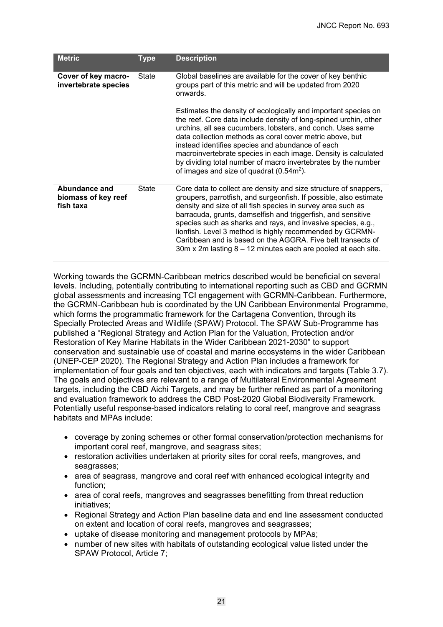| <b>Metric</b>                                     | <b>Type</b> | <b>Description</b>                                                                                                                                                                                                                                                                                                                                                                                                                                                                                                                        |
|---------------------------------------------------|-------------|-------------------------------------------------------------------------------------------------------------------------------------------------------------------------------------------------------------------------------------------------------------------------------------------------------------------------------------------------------------------------------------------------------------------------------------------------------------------------------------------------------------------------------------------|
| Cover of key macro-<br>invertebrate species       | State       | Global baselines are available for the cover of key benthic<br>groups part of this metric and will be updated from 2020<br>onwards.                                                                                                                                                                                                                                                                                                                                                                                                       |
|                                                   |             | Estimates the density of ecologically and important species on<br>the reef. Core data include density of long-spined urchin, other<br>urchins, all sea cucumbers, lobsters, and conch. Uses same<br>data collection methods as coral cover metric above, but<br>instead identifies species and abundance of each<br>macroinvertebrate species in each image. Density is calculated<br>by dividing total number of macro invertebrates by the number<br>of images and size of quadrat $(0.54m^2)$ .                                        |
| Abundance and<br>biomass of key reef<br>fish taxa | State       | Core data to collect are density and size structure of snappers,<br>groupers, parrotfish, and surgeonfish. If possible, also estimate<br>density and size of all fish species in survey area such as<br>barracuda, grunts, damselfish and triggerfish, and sensitive<br>species such as sharks and rays, and invasive species, e.g.,<br>lionfish. Level 3 method is highly recommended by GCRMN-<br>Caribbean and is based on the AGGRA. Five belt transects of<br>$30m \times 2m$ lasting $8 - 12$ minutes each are pooled at each site. |

Working towards the GCRMN-Caribbean metrics described would be beneficial on several levels. Including, potentially contributing to international reporting such as CBD and GCRMN global assessments and increasing TCI engagement with GCRMN-Caribbean. Furthermore, the GCRMN-Caribbean hub is coordinated by the UN Caribbean Environmental Programme, which forms the programmatic framework for the Cartagena Convention, through its Specially Protected Areas and Wildlife (SPAW) Protocol. The SPAW Sub-Programme has published a "Regional Strategy and Action Plan for the Valuation, Protection and/or Restoration of Key Marine Habitats in the Wider Caribbean 2021-2030" to support conservation and sustainable use of coastal and marine ecosystems in the wider Caribbean (UNEP-CEP 2020). The Regional Strategy and Action Plan includes a framework for implementation of four goals and ten objectives, each with indicators and targets (Table 3.7). The goals and objectives are relevant to a range of Multilateral Environmental Agreement targets, including the CBD Aichi Targets, and may be further refined as part of a monitoring and evaluation framework to address the CBD Post-2020 Global Biodiversity Framework. Potentially useful response-based indicators relating to coral reef, mangrove and seagrass habitats and MPAs include:

- coverage by zoning schemes or other formal conservation/protection mechanisms for important coral reef, mangrove, and seagrass sites;
- restoration activities undertaken at priority sites for coral reefs, mangroves, and seagrasses;
- area of seagrass, mangrove and coral reef with enhanced ecological integrity and function;
- area of coral reefs, mangroves and seagrasses benefitting from threat reduction initiatives;
- Regional Strategy and Action Plan baseline data and end line assessment conducted on extent and location of coral reefs, mangroves and seagrasses;
- uptake of disease monitoring and management protocols by MPAs;
- number of new sites with habitats of outstanding ecological value listed under the SPAW Protocol, Article 7;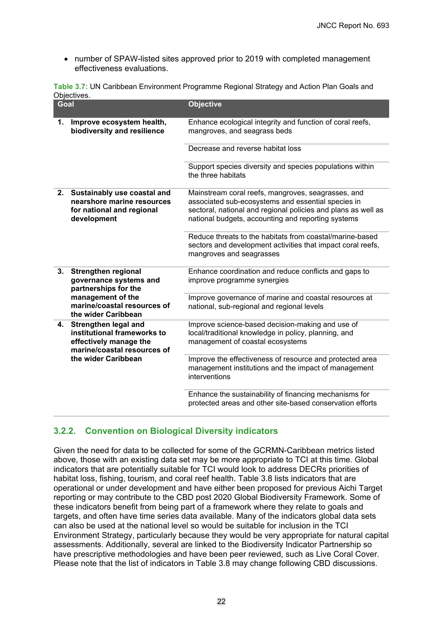• number of SPAW-listed sites approved prior to 2019 with completed management effectiveness evaluations.

<span id="page-25-1"></span>

| Table 3.7: UN Caribbean Environment Programme Regional Strategy and Action Plan Goals and |  |  |
|-------------------------------------------------------------------------------------------|--|--|
| Objectives.                                                                               |  |  |

| Goal |                                                                                                              | <b>Objective</b>                                                                                                                                                                                                                |
|------|--------------------------------------------------------------------------------------------------------------|---------------------------------------------------------------------------------------------------------------------------------------------------------------------------------------------------------------------------------|
| 1.   | Improve ecosystem health,<br>biodiversity and resilience                                                     | Enhance ecological integrity and function of coral reefs,<br>mangroves, and seagrass beds                                                                                                                                       |
|      |                                                                                                              | Decrease and reverse habitat loss                                                                                                                                                                                               |
|      |                                                                                                              | Support species diversity and species populations within<br>the three habitats                                                                                                                                                  |
| 2.   | Sustainably use coastal and<br>nearshore marine resources<br>for national and regional<br>development        | Mainstream coral reefs, mangroves, seagrasses, and<br>associated sub-ecosystems and essential species in<br>sectoral, national and regional policies and plans as well as<br>national budgets, accounting and reporting systems |
|      |                                                                                                              | Reduce threats to the habitats from coastal/marine-based<br>sectors and development activities that impact coral reefs,<br>mangroves and seagrasses                                                                             |
| 3.   | <b>Strengthen regional</b><br>governance systems and<br>partnerships for the                                 | Enhance coordination and reduce conflicts and gaps to<br>improve programme synergies                                                                                                                                            |
|      | management of the<br>marine/coastal resources of<br>the wider Caribbean                                      | Improve governance of marine and coastal resources at<br>national, sub-regional and regional levels                                                                                                                             |
| 4.   | Strengthen legal and<br>institutional frameworks to<br>effectively manage the<br>marine/coastal resources of | Improve science-based decision-making and use of<br>local/traditional knowledge in policy, planning, and<br>management of coastal ecosystems                                                                                    |
|      | the wider Caribbean                                                                                          | Improve the effectiveness of resource and protected area<br>management institutions and the impact of management<br>interventions                                                                                               |
|      |                                                                                                              | Enhance the sustainability of financing mechanisms for<br>protected areas and other site-based conservation efforts                                                                                                             |

## <span id="page-25-0"></span>**3.2.2. Convention on Biological Diversity indicators**

Given the need for data to be collected for some of the GCRMN-Caribbean metrics listed above, those with an existing data set may be more appropriate to TCI at this time. Global indicators that are potentially suitable for TCI would look to address DECRs priorities of habitat loss, fishing, tourism, and coral reef health. Table 3.8 lists indicators that are operational or under development and have either been proposed for previous Aichi Target reporting or may contribute to the CBD post 2020 Global Biodiversity Framework. Some of these indicators benefit from being part of a framework where they relate to goals and targets, and often have time series data available. Many of the indicators global data sets can also be used at the national level so would be suitable for inclusion in the TCI Environment Strategy, particularly because they would be very appropriate for natural capital assessments. Additionally, several are linked to the Biodiversity Indicator Partnership so have prescriptive methodologies and have been peer reviewed, such as Live Coral Cover. Please note that the list of indicators in Table 3.8 may change following CBD discussions.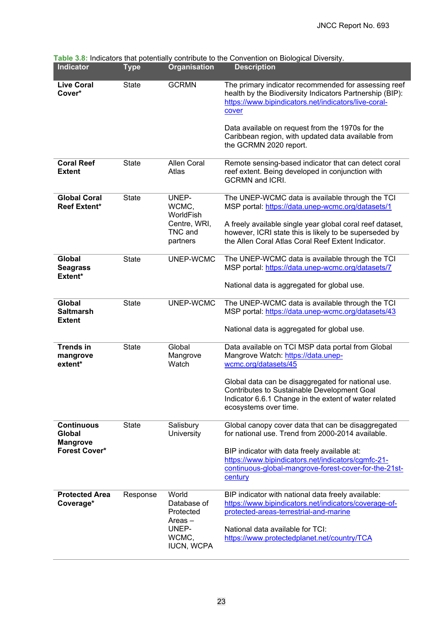| <b>Indicator</b>                               | <b>Type</b>  | Organisation                                           | <b>Description</b>                                                                                                                                                                                                          |
|------------------------------------------------|--------------|--------------------------------------------------------|-----------------------------------------------------------------------------------------------------------------------------------------------------------------------------------------------------------------------------|
| <b>Live Coral</b><br>Cover*                    | <b>State</b> | <b>GCRMN</b>                                           | The primary indicator recommended for assessing reef<br>health by the Biodiversity Indicators Partnership (BIP):<br>https://www.bipindicators.net/indicators/live-coral-<br>cover                                           |
|                                                |              |                                                        | Data available on request from the 1970s for the<br>Caribbean region, with updated data available from<br>the GCRMN 2020 report.                                                                                            |
| <b>Coral Reef</b><br><b>Extent</b>             | <b>State</b> | <b>Allen Coral</b><br>Atlas                            | Remote sensing-based indicator that can detect coral<br>reef extent. Being developed in conjunction with<br><b>GCRMN</b> and <b>ICRI</b> .                                                                                  |
| <b>Global Coral</b><br><b>Reef Extent*</b>     | <b>State</b> | UNEP-<br>WCMC,<br>WorldFish<br>Centre, WRI,<br>TNC and | The UNEP-WCMC data is available through the TCI<br>MSP portal: https://data.unep-wcmc.org/datasets/1<br>A freely available single year global coral reef dataset,<br>however, ICRI state this is likely to be superseded by |
|                                                |              | partners                                               | the Allen Coral Atlas Coral Reef Extent Indicator.                                                                                                                                                                          |
| Global<br><b>Seagrass</b><br>Extent*           | <b>State</b> | UNEP-WCMC                                              | The UNEP-WCMC data is available through the TCI<br>MSP portal: https://data.unep-wcmc.org/datasets/7                                                                                                                        |
|                                                |              |                                                        | National data is aggregated for global use.                                                                                                                                                                                 |
| Global<br><b>Saltmarsh</b><br><b>Extent</b>    | <b>State</b> | UNEP-WCMC                                              | The UNEP-WCMC data is available through the TCI<br>MSP portal: https://data.unep-wcmc.org/datasets/43                                                                                                                       |
|                                                |              |                                                        | National data is aggregated for global use.                                                                                                                                                                                 |
| <b>Trends in</b><br>mangrove<br>extent*        | <b>State</b> | Global<br>Mangrove<br>Watch                            | Data available on TCI MSP data portal from Global<br>Mangrove Watch: https://data.unep-<br>wcmc.org/datasets/45                                                                                                             |
|                                                |              |                                                        | Global data can be disaggregated for national use.<br><b>Contributes to Sustainable Development Goal</b><br>Indicator 6.6.1 Change in the extent of water related<br>ecosystems over time.                                  |
| <b>Continuous</b><br>Global<br><b>Mangrove</b> | <b>State</b> | Salisbury<br>University                                | Global canopy cover data that can be disaggregated<br>for national use. Trend from 2000-2014 available.                                                                                                                     |
| <b>Forest Cover*</b>                           |              |                                                        | BIP indicator with data freely available at:<br>https://www.bipindicators.net/indicators/cgmfc-21-<br>continuous-global-mangrove-forest-cover-for-the-21st-<br>century                                                      |
| <b>Protected Area</b><br>Coverage*             | Response     | World<br>Database of<br>Protected<br>$Areas -$         | BIP indicator with national data freely available:<br>https://www.bipindicators.net/indicators/coverage-of-<br>protected-areas-terrestrial-and-marine                                                                       |
|                                                |              | UNEP-<br>WCMC,<br><b>IUCN, WCPA</b>                    | National data available for TCI:<br>https://www.protectedplanet.net/country/TCA                                                                                                                                             |

<span id="page-26-0"></span>**Table 3.8:** Indicators that potentially contribute to the Convention on Biological Diversity.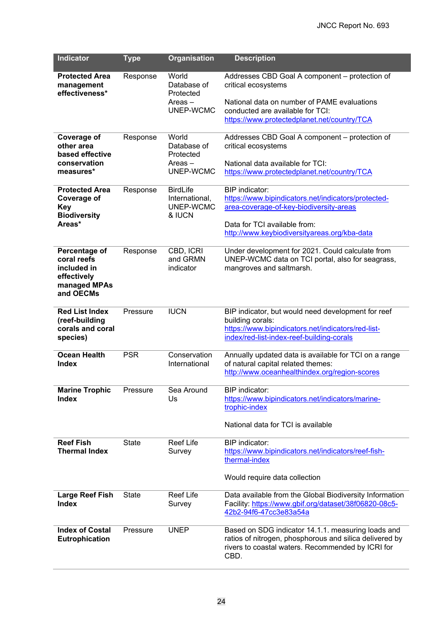| <b>Indicator</b>                                                                        | <b>Type</b>  | <b>Organisation</b>                                         | <b>Description</b>                                                                                                                                                                                      |
|-----------------------------------------------------------------------------------------|--------------|-------------------------------------------------------------|---------------------------------------------------------------------------------------------------------------------------------------------------------------------------------------------------------|
| <b>Protected Area</b><br>management<br>effectiveness*                                   | Response     | World<br>Database of<br>Protected<br>$Areas -$<br>UNEP-WCMC | Addresses CBD Goal A component – protection of<br>critical ecosystems<br>National data on number of PAME evaluations<br>conducted are available for TCI:                                                |
|                                                                                         |              |                                                             | https://www.protectedplanet.net/country/TCA                                                                                                                                                             |
| Coverage of<br>other area<br>based effective<br>conservation<br>measures*               | Response     | World<br>Database of<br>Protected<br>Areas –<br>UNEP-WCMC   | Addresses CBD Goal A component - protection of<br>critical ecosystems<br>National data available for TCI:<br>https://www.protectedplanet.net/country/TCA                                                |
| <b>Protected Area</b><br><b>Coverage of</b><br>Key<br><b>Biodiversity</b><br>Areas*     | Response     | <b>BirdLife</b><br>International.<br>UNEP-WCMC<br>& IUCN    | <b>BIP</b> indicator:<br>https://www.bipindicators.net/indicators/protected-<br>area-coverage-of-key-biodiversity-areas<br>Data for TCI available from:<br>http://www.keybiodiversityareas.org/kba-data |
| Percentage of<br>coral reefs<br>included in<br>effectively<br>managed MPAs<br>and OECMs | Response     | CBD, ICRI<br>and GRMN<br>indicator                          | Under development for 2021. Could calculate from<br>UNEP-WCMC data on TCI portal, also for seagrass,<br>mangroves and saltmarsh.                                                                        |
| <b>Red List Index</b><br>(reef-building<br>corals and coral<br>species)                 | Pressure     | <b>IUCN</b>                                                 | BIP indicator, but would need development for reef<br>building corals:<br>https://www.bipindicators.net/indicators/red-list-<br>index/red-list-index-reef-building-corals                               |
| <b>Ocean Health</b><br><b>Index</b>                                                     | <b>PSR</b>   | Conservation<br>International                               | Annually updated data is available for TCI on a range<br>of natural capital related themes:<br>http://www.oceanhealthindex.org/region-scores                                                            |
| <b>Marine Trophic</b><br><b>Index</b>                                                   | Pressure     | Sea Around<br>Us                                            | BIP indicator:<br>https://www.bipindicators.net/indicators/marine-<br>trophic-index<br>National data for TCI is available                                                                               |
| <b>Reef Fish</b><br><b>Thermal Index</b>                                                | <b>State</b> | <b>Reef Life</b><br>Survey                                  | BIP indicator:<br>https://www.bipindicators.net/indicators/reef-fish-<br>thermal-index<br>Would require data collection                                                                                 |
| <b>Large Reef Fish</b><br><b>Index</b>                                                  | <b>State</b> | <b>Reef Life</b><br>Survey                                  | Data available from the Global Biodiversity Information<br>Facility: https://www.gbif.org/dataset/38f06820-08c5-<br>42b2-94f6-47cc3e83a54a                                                              |
| <b>Index of Costal</b><br><b>Eutrophication</b>                                         | Pressure     | <b>UNEP</b>                                                 | Based on SDG indicator 14.1.1. measuring loads and<br>ratios of nitrogen, phosphorous and silica delivered by<br>rivers to coastal waters. Recommended by ICRI for<br>CBD.                              |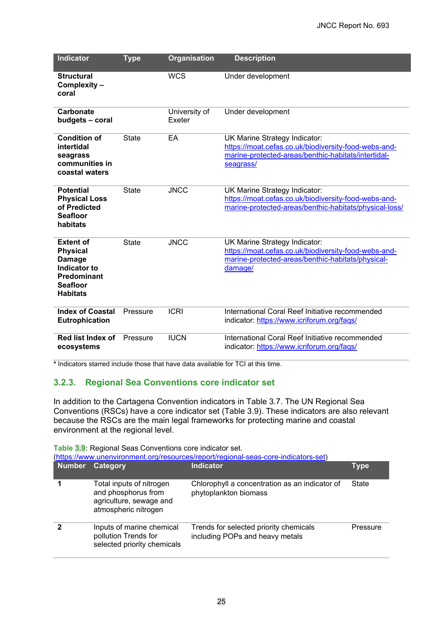| <b>Indicator</b>                                                                                                                 | <b>Type</b>  | <b>Organisation</b>     | <b>Description</b>                                                                                                                                        |
|----------------------------------------------------------------------------------------------------------------------------------|--------------|-------------------------|-----------------------------------------------------------------------------------------------------------------------------------------------------------|
| <b>Structural</b><br>Complexity -<br>coral                                                                                       |              | <b>WCS</b>              | Under development                                                                                                                                         |
| Carbonate<br>budgets - coral                                                                                                     |              | University of<br>Exeter | Under development                                                                                                                                         |
| <b>Condition of</b><br>intertidal<br>seagrass<br>communities in<br>coastal waters                                                | <b>State</b> | EA                      | UK Marine Strategy Indicator:<br>https://moat.cefas.co.uk/biodiversity-food-webs-and-<br>marine-protected-areas/benthic-habitats/intertidal-<br>seagrass/ |
| <b>Potential</b><br><b>Physical Loss</b><br>of Predicted<br><b>Seafloor</b><br>habitats                                          | <b>State</b> | <b>JNCC</b>             | UK Marine Strategy Indicator:<br>https://moat.cefas.co.uk/biodiversity-food-webs-and-<br>marine-protected-areas/benthic-habitats/physical-loss/           |
| <b>Extent of</b><br><b>Physical</b><br><b>Damage</b><br>Indicator to<br><b>Predominant</b><br><b>Seafloor</b><br><b>Habitats</b> | <b>State</b> | <b>JNCC</b>             | UK Marine Strategy Indicator:<br>https://moat.cefas.co.uk/biodiversity-food-webs-and-<br>marine-protected-areas/benthic-habitats/physical-<br>damage/     |
| <b>Index of Coastal</b><br><b>Eutrophication</b>                                                                                 | Pressure     | <b>ICRI</b>             | International Coral Reef Initiative recommended<br>indicator: https://www.icriforum.org/faqs/                                                             |
| Red list Index of<br>ecosystems                                                                                                  | Pressure     | <b>IUCN</b>             | International Coral Reef Initiative recommended<br>indicator: https://www.icriforum.org/faqs/                                                             |

**\*** Indicators starred include those that have data available for TCI at this time.

#### <span id="page-28-0"></span>**3.2.3. Regional Sea Conventions core indicator set**

In addition to the Cartagena Convention indicators in Table 3.7. The UN Regional Sea Conventions (RSCs) have a core indicator set (Table 3.9). These indicators are also relevant because the RSCs are the main legal frameworks for protecting marine and coastal environment at the regional level.

| <b>Table 3.9: Regional Seas Conventions core indicator set.</b><br>(https://www.unenvironment.org/resources/report/regional-seas-core-indicators-set) |                                                                                                    |                                                                           |          |  |  |  |
|-------------------------------------------------------------------------------------------------------------------------------------------------------|----------------------------------------------------------------------------------------------------|---------------------------------------------------------------------------|----------|--|--|--|
| <b>Number</b>                                                                                                                                         | Category                                                                                           | <b>Indicator</b>                                                          | Type     |  |  |  |
|                                                                                                                                                       | Total inputs of nitrogen<br>and phosphorus from<br>agriculture, sewage and<br>atmospheric nitrogen | Chlorophyll a concentration as an indicator of<br>phytoplankton biomass   | State    |  |  |  |
| 2                                                                                                                                                     | Inputs of marine chemical<br>pollution Trends for<br>selected priority chemicals                   | Trends for selected priority chemicals<br>including POPs and heavy metals | Pressure |  |  |  |

**Table 3.9:** Regional Seas Conventions core indicator set.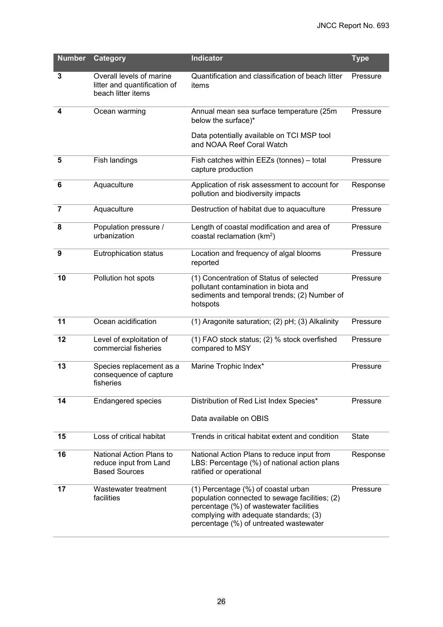| <b>Number</b>  | <b>Category</b>                                                                | <b>Indicator</b>                                                                                                                                                                                                     | <b>Type</b>  |
|----------------|--------------------------------------------------------------------------------|----------------------------------------------------------------------------------------------------------------------------------------------------------------------------------------------------------------------|--------------|
| 3              | Overall levels of marine<br>litter and quantification of<br>beach litter items | Quantification and classification of beach litter<br>items                                                                                                                                                           | Pressure     |
| 4              | Ocean warming                                                                  | Annual mean sea surface temperature (25m<br>below the surface)*<br>Data potentially available on TCI MSP tool                                                                                                        | Pressure     |
|                |                                                                                | and NOAA Reef Coral Watch                                                                                                                                                                                            |              |
| 5              | Fish landings                                                                  | Fish catches within EEZs (tonnes) - total<br>capture production                                                                                                                                                      | Pressure     |
| 6              | Aquaculture                                                                    | Application of risk assessment to account for<br>pollution and biodiversity impacts                                                                                                                                  | Response     |
| $\overline{7}$ | Aquaculture                                                                    | Destruction of habitat due to aquaculture                                                                                                                                                                            | Pressure     |
| 8              | Population pressure /<br>urbanization                                          | Length of coastal modification and area of<br>coastal reclamation (km <sup>2</sup> )                                                                                                                                 | Pressure     |
| 9              | <b>Eutrophication status</b>                                                   | Location and frequency of algal blooms<br>reported                                                                                                                                                                   | Pressure     |
| 10             | Pollution hot spots                                                            | (1) Concentration of Status of selected<br>pollutant contamination in biota and<br>sediments and temporal trends; (2) Number of<br>hotspots                                                                          | Pressure     |
| 11             | Ocean acidification                                                            | (1) Aragonite saturation; (2) pH; (3) Alkalinity                                                                                                                                                                     | Pressure     |
| 12             | Level of exploitation of<br>commercial fisheries                               | (1) FAO stock status; (2) % stock overfished<br>compared to MSY                                                                                                                                                      | Pressure     |
| 13             | Species replacement as a<br>consequence of capture<br>fisheries                | Marine Trophic Index*                                                                                                                                                                                                | Pressure     |
| 14             | <b>Endangered species</b>                                                      | Distribution of Red List Index Species*                                                                                                                                                                              | Pressure     |
|                |                                                                                | Data available on OBIS                                                                                                                                                                                               |              |
| 15             | Loss of critical habitat                                                       | Trends in critical habitat extent and condition                                                                                                                                                                      | <b>State</b> |
| 16             | National Action Plans to<br>reduce input from Land<br><b>Based Sources</b>     | National Action Plans to reduce input from<br>LBS: Percentage (%) of national action plans<br>ratified or operational                                                                                                | Response     |
| 17             | Wastewater treatment<br>facilities                                             | (1) Percentage (%) of coastal urban<br>population connected to sewage facilities; (2)<br>percentage (%) of wastewater facilities<br>complying with adequate standards; (3)<br>percentage (%) of untreated wastewater | Pressure     |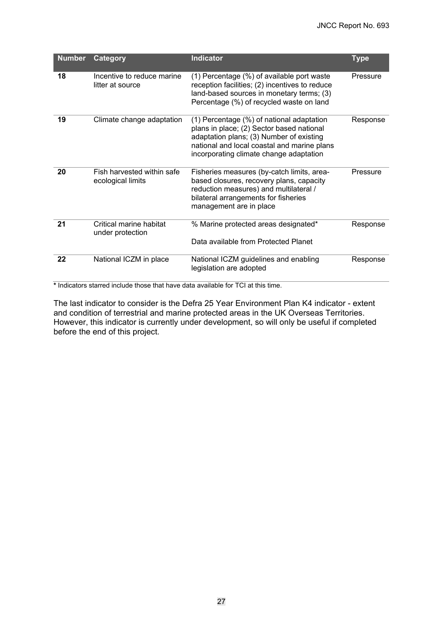| <b>Number</b> | Category                                        | <b>Indicator</b>                                                                                                                                                                                                             | <b>Type</b> |
|---------------|-------------------------------------------------|------------------------------------------------------------------------------------------------------------------------------------------------------------------------------------------------------------------------------|-------------|
| 18            | Incentive to reduce marine<br>litter at source  | (1) Percentage (%) of available port waste<br>reception facilities; (2) incentives to reduce<br>land-based sources in monetary terms; (3)<br>Percentage (%) of recycled waste on land                                        | Pressure    |
| 19            | Climate change adaptation                       | (1) Percentage (%) of national adaptation<br>plans in place; (2) Sector based national<br>adaptation plans; (3) Number of existing<br>national and local coastal and marine plans<br>incorporating climate change adaptation | Response    |
| 20            | Fish harvested within safe<br>ecological limits | Fisheries measures (by-catch limits, area-<br>based closures, recovery plans, capacity<br>reduction measures) and multilateral /<br>bilateral arrangements for fisheries<br>management are in place                          | Pressure    |
| 21            | Critical marine habitat<br>under protection     | % Marine protected areas designated*<br>Data available from Protected Planet                                                                                                                                                 | Response    |
| 22            | National ICZM in place                          | National ICZM guidelines and enabling<br>legislation are adopted                                                                                                                                                             | Response    |

**\*** Indicators starred include those that have data available for TCI at this time.

The last indicator to consider is the Defra 25 Year Environment Plan K4 indicator - extent and condition of terrestrial and marine protected areas in the UK Overseas Territories. However, this indicator is currently under development, so will only be useful if completed before the end of this project.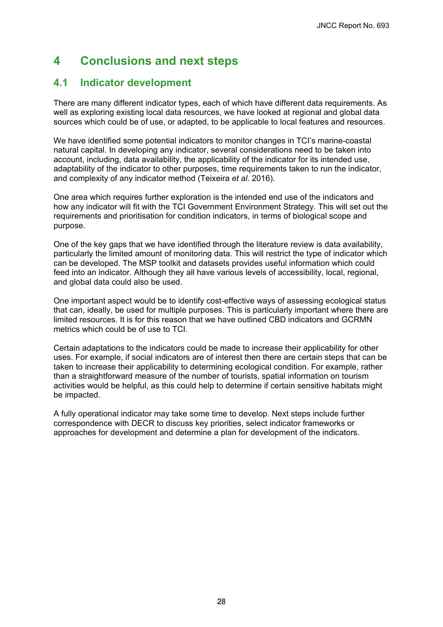# <span id="page-31-0"></span>**4 Conclusions and next steps**

## <span id="page-31-1"></span>**4.1 Indicator development**

There are many different indicator types, each of which have different data requirements. As well as exploring existing local data resources, we have looked at regional and global data sources which could be of use, or adapted, to be applicable to local features and resources.

We have identified some potential indicators to monitor changes in TCI's marine-coastal natural capital. In developing any indicator, several considerations need to be taken into account, including, data availability, the applicability of the indicator for its intended use, adaptability of the indicator to other purposes, time requirements taken to run the indicator, and complexity of any indicator method (Teixeira *et al*. 2016).

One area which requires further exploration is the intended end use of the indicators and how any indicator will fit with the TCI Government Environment Strategy. This will set out the requirements and prioritisation for condition indicators, in terms of biological scope and purpose.

One of the key gaps that we have identified through the literature review is data availability, particularly the limited amount of monitoring data. This will restrict the type of indicator which can be developed. The MSP toolkit and datasets provides useful information which could feed into an indicator. Although they all have various levels of accessibility, local, regional, and global data could also be used.

One important aspect would be to identify cost-effective ways of assessing ecological status that can, ideally, be used for multiple purposes. This is particularly important where there are limited resources. It is for this reason that we have outlined CBD indicators and GCRMN metrics which could be of use to TCI.

Certain adaptations to the indicators could be made to increase their applicability for other uses. For example, if social indicators are of interest then there are certain steps that can be taken to increase their applicability to determining ecological condition. For example, rather than a straightforward measure of the number of tourists, spatial information on tourism activities would be helpful, as this could help to determine if certain sensitive habitats might be impacted.

A fully operational indicator may take some time to develop. Next steps include further correspondence with DECR to discuss key priorities, select indicator frameworks or approaches for development and determine a plan for development of the indicators.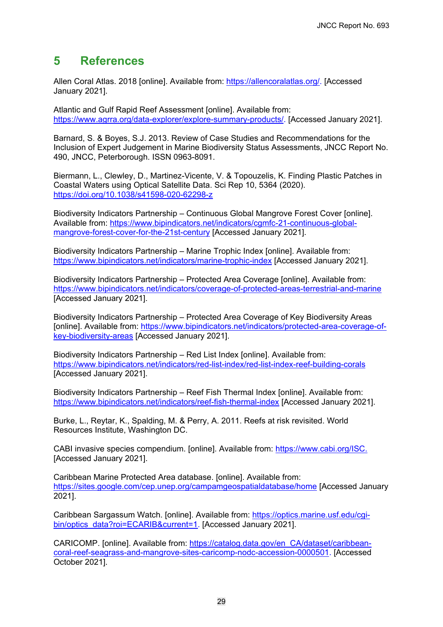## <span id="page-32-0"></span>**5 References**

Allen Coral Atlas. 2018 [online]. Available from: [https://allencoralatlas.org/.](https://allencoralatlas.org/) [Accessed January 2021].

Atlantic and Gulf Rapid Reef Assessment [online]. Available from: [https://www.agrra.org/data-explorer/explore-summary-products/.](https://www.agrra.org/data-explorer/explore-summary-products/) [Accessed January 2021].

Barnard, S. & Boyes, S.J. 2013. Review of Case Studies and Recommendations for the Inclusion of Expert Judgement in Marine Biodiversity Status Assessments, JNCC Report No. 490, JNCC, Peterborough. ISSN 0963-8091.

Biermann, L., Clewley, D., Martinez-Vicente, V. & Topouzelis, K. Finding Plastic Patches in Coastal Waters using Optical Satellite Data. Sci Rep 10, 5364 (2020). <https://doi.org/10.1038/s41598-020-62298-z>

Biodiversity Indicators Partnership – Continuous Global Mangrove Forest Cover [online]. Available from: [https://www.bipindicators.net/indicators/cgmfc-21-continuous-global](https://www.bipindicators.net/indicators/cgmfc-21-continuous-global-mangrove-forest-cover-for-the-21st-century)[mangrove-forest-cover-for-the-21st-century](https://www.bipindicators.net/indicators/cgmfc-21-continuous-global-mangrove-forest-cover-for-the-21st-century) [Accessed January 2021].

Biodiversity Indicators Partnership – Marine Trophic Index [online]. Available from: <https://www.bipindicators.net/indicators/marine-trophic-index> [Accessed January 2021].

Biodiversity Indicators Partnership – Protected Area Coverage [online]. Available from: <https://www.bipindicators.net/indicators/coverage-of-protected-areas-terrestrial-and-marine> [Accessed January 2021].

Biodiversity Indicators Partnership – Protected Area Coverage of Key Biodiversity Areas [online]. Available from: [https://www.bipindicators.net/indicators/protected-area-coverage-of](https://www.bipindicators.net/indicators/protected-area-coverage-of-key-biodiversity-areas)[key-biodiversity-areas](https://www.bipindicators.net/indicators/protected-area-coverage-of-key-biodiversity-areas) [Accessed January 2021].

Biodiversity Indicators Partnership – Red List Index [online]. Available from: <https://www.bipindicators.net/indicators/red-list-index/red-list-index-reef-building-corals> [Accessed January 2021].

Biodiversity Indicators Partnership – Reef Fish Thermal Index [online]. Available from: <https://www.bipindicators.net/indicators/reef-fish-thermal-index> [Accessed January 2021].

Burke, L., Reytar, K., Spalding, M. & Perry, A. 2011. Reefs at risk revisited. World Resources Institute, Washington DC.

CABI invasive species compendium. [online]. Available from: [https://www.cabi.org/ISC.](https://www.cabi.org/ISC) [Accessed January 2021].

Caribbean Marine Protected Area database. [online]. Available from: <https://sites.google.com/cep.unep.org/campamgeospatialdatabase/home> [Accessed January 2021].

Caribbean Sargassum Watch. [online]. Available from: [https://optics.marine.usf.edu/cgi](https://optics.marine.usf.edu/cgi-bin/optics_data?roi=ECARIB¤t=1)[bin/optics\\_data?roi=ECARIB&current=1.](https://optics.marine.usf.edu/cgi-bin/optics_data?roi=ECARIB¤t=1) [Accessed January 2021].

CARICOMP. [online]. Available from: [https://catalog.data.gov/en\\_CA/dataset/caribbean](https://catalog.data.gov/en_CA/dataset/caribbean-coral-reef-seagrass-and-mangrove-sites-caricomp-nodc-accession-0000501)[coral-reef-seagrass-and-mangrove-sites-caricomp-nodc-accession-0000501.](https://catalog.data.gov/en_CA/dataset/caribbean-coral-reef-seagrass-and-mangrove-sites-caricomp-nodc-accession-0000501) [Accessed October 2021].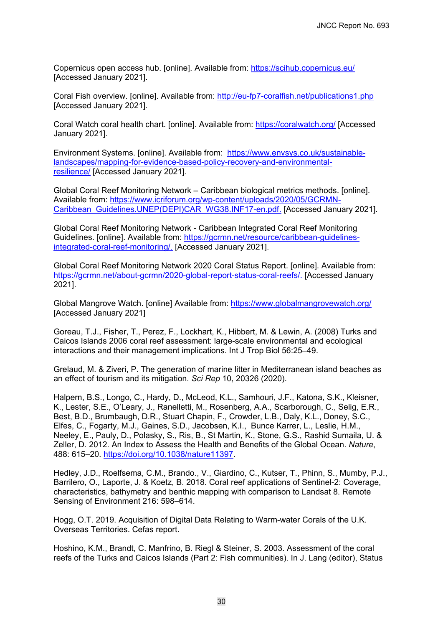Copernicus open access hub. [online]. Available from:<https://scihub.copernicus.eu/> [Accessed January 2021].

Coral Fish overview. [online]. Available from:<http://eu-fp7-coralfish.net/publications1.php> [Accessed January 2021].

Coral Watch coral health chart. [online]. Available from:<https://coralwatch.org/> [Accessed January 2021].

Environment Systems. [online]. Available from: [https://www.envsys.co.uk/sustainable](https://www.envsys.co.uk/sustainable-landscapes/mapping-for-evidence-based-policy-recovery-and-environmental-resilience/)[landscapes/mapping-for-evidence-based-policy-recovery-and-environmental](https://www.envsys.co.uk/sustainable-landscapes/mapping-for-evidence-based-policy-recovery-and-environmental-resilience/)[resilience/](https://www.envsys.co.uk/sustainable-landscapes/mapping-for-evidence-based-policy-recovery-and-environmental-resilience/) [Accessed January 2021].

Global Coral Reef Monitoring Network – Caribbean biological metrics methods. [online]. Available from: [https://www.icriforum.org/wp-content/uploads/2020/05/GCRMN-](https://www.icriforum.org/wp-content/uploads/2020/05/GCRMN-Caribbean_Guidelines.UNEP(DEPI)CAR_WG38.INF17-en.pdf)[Caribbean\\_Guidelines.UNEP\(DEPI\)CAR\\_WG38.INF17-en.pdf.](https://www.icriforum.org/wp-content/uploads/2020/05/GCRMN-Caribbean_Guidelines.UNEP(DEPI)CAR_WG38.INF17-en.pdf) [Accessed January 2021].

Global Coral Reef Monitoring Network - Caribbean Integrated Coral Reef Monitoring Guidelines. [online]. Available from: [https://gcrmn.net/resource/caribbean-guidelines](https://gcrmn.net/resource/caribbean-guidelines-integrated-coral-reef-monitoring/)[integrated-coral-reef-monitoring/.](https://gcrmn.net/resource/caribbean-guidelines-integrated-coral-reef-monitoring/) [Accessed January 2021].

Global Coral Reef Monitoring Network 2020 Coral Status Report. [online]. Available from: [https://gcrmn.net/about-gcrmn/2020-global-report-status-coral-reefs/.](https://gcrmn.net/about-gcrmn/2020-global-report-status-coral-reefs/) [Accessed January 2021].

Global Mangrove Watch. [online] Available from:<https://www.globalmangrovewatch.org/> [Accessed January 2021]

Goreau, T.J., Fisher, T., Perez, F., Lockhart, K., Hibbert, M. & Lewin, A. (2008) Turks and Caicos Islands 2006 coral reef assessment: large-scale environmental and ecological interactions and their management implications. Int J Trop Biol 56:25–49.

Grelaud, M. & Ziveri, P. The generation of marine litter in Mediterranean island beaches as an effect of tourism and its mitigation. *Sci Rep* 10, 20326 (2020).

Halpern, B.S., Longo, C., Hardy, D., McLeod, K.L., Samhouri, J.F., Katona, S.K., Kleisner, K., Lester, S.E., O'Leary, J., Ranelletti, M., Rosenberg, A.A., Scarborough, C., Selig, E.R., Best, B.D., Brumbaugh, D.R., Stuart Chapin, F., Crowder, L.B., Daly, K.L., Doney, S.C., Elfes, C., Fogarty, M.J., Gaines, S.D., Jacobsen, K.I., Bunce Karrer, L., Leslie, H.M., Neeley, E., Pauly, D., Polasky, S., Ris, B., St Martin, K., Stone, G.S., Rashid Sumaila, U. & Zeller, D. 2012. An Index to Assess the Health and Benefits of the Global Ocean. *Nature*, 488: 615–20. [https://doi.org/10.1038/nature11397.](https://doi.org/10.1038/nature11397)

Hedley, J.D., Roelfsema, C.M., Brando., V., Giardino, C., Kutser, T., Phinn, S., Mumby, P.J., Barrilero, O., Laporte, J. & Koetz, B. 2018. Coral reef applications of Sentinel-2: Coverage, characteristics, bathymetry and benthic mapping with comparison to Landsat 8. Remote Sensing of Environment 216: 598–614.

Hogg, O.T. 2019. Acquisition of Digital Data Relating to Warm-water Corals of the U.K. Overseas Territories. Cefas report.

Hoshino, K.M., Brandt, C. Manfrino, B. Riegl & Steiner, S. 2003. Assessment of the coral reefs of the Turks and Caicos Islands (Part 2: Fish communities). In J. Lang (editor), Status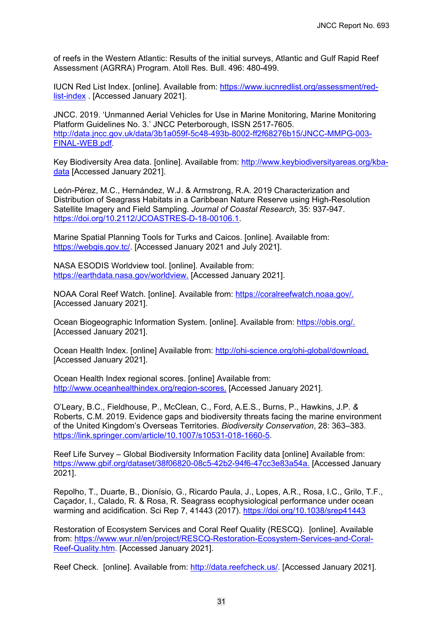of reefs in the Western Atlantic: Results of the initial surveys, Atlantic and Gulf Rapid Reef Assessment (AGRRA) Program. Atoll Res. Bull. 496: 480-499.

IUCN Red List Index. [online]. Available from: [https://www.iucnredlist.org/assessment/red](https://www.iucnredlist.org/assessment/red-list-index)[list-index](https://www.iucnredlist.org/assessment/red-list-index) . [Accessed January 2021].

JNCC. 2019. 'Unmanned Aerial Vehicles for Use in Marine Monitoring, Marine Monitoring Platform Guidelines No. 3.' JNCC Peterborough, ISSN 2517-7605. [http://data.jncc.gov.uk/data/3b1a059f-5c48-493b-8002-ff2f68276b15/JNCC-MMPG-003-](http://data.jncc.gov.uk/data/3b1a059f-5c48-493b-8002-ff2f68276b15/JNCC-MMPG-003-FINAL-WEB.pdf) [FINAL-WEB.pdf.](http://data.jncc.gov.uk/data/3b1a059f-5c48-493b-8002-ff2f68276b15/JNCC-MMPG-003-FINAL-WEB.pdf)

Key Biodiversity Area data. [online]. Available from: [http://www.keybiodiversityareas.org/kba](http://www.keybiodiversityareas.org/kba-data)[data](http://www.keybiodiversityareas.org/kba-data) [Accessed January 2021].

León-Pérez, M.C., Hernández, W.J. & Armstrong, R.A. 2019 Characterization and Distribution of Seagrass Habitats in a Caribbean Nature Reserve using High-Resolution Satellite Imagery and Field Sampling. *Journal of Coastal Research,* 35: 937-947. [https://doi.org/10.2112/JCOASTRES-D-18-00106.1.](https://doi.org/10.2112/JCOASTRES-D-18-00106.1)

Marine Spatial Planning Tools for Turks and Caicos. [online]. Available from: [https://webgis.gov.tc/.](https://webgis.gov.tc/) [Accessed January 2021 and July 2021].

NASA ESODIS Worldview tool. [online]. Available from: [https://earthdata.nasa.gov/worldview.](https://earthdata.nasa.gov/worldview) [Accessed January 2021].

NOAA Coral Reef Watch. [online]. Available from: [https://coralreefwatch.noaa.gov/.](https://coralreefwatch.noaa.gov/) [Accessed January 2021].

Ocean Biogeographic Information System. [online]. Available from: [https://obis.org/.](https://obis.org/) [Accessed January 2021].

Ocean Health Index. [online] Available from: [http://ohi-science.org/ohi-global/download.](http://ohi-science.org/ohi-global/download) [Accessed January 2021].

Ocean Health Index regional scores. [online] Available from: [http://www.oceanhealthindex.org/region-scores.](http://www.oceanhealthindex.org/region-scores) [Accessed January 2021].

O'Leary, B.C., Fieldhouse, P., McClean, C., Ford, A.E.S., Burns, P., Hawkins, J.P*. &*  Roberts, C.M. 2019. Evidence gaps and biodiversity threats facing the marine environment of the United Kingdom's Overseas Territories. *Biodiversity Conservation*, 28: 363–383. [https://link.springer.com/article/10.1007/s10531-018-1660-5.](https://link.springer.com/article/10.1007/s10531-018-1660-5)

Reef Life Survey – Global Biodiversity Information Facility data [online] Available from: [https://www.gbif.org/dataset/38f06820-08c5-42b2-94f6-47cc3e83a54a.](https://www.gbif.org/dataset/38f06820-08c5-42b2-94f6-47cc3e83a54a) [Accessed January 2021].

Repolho, T., Duarte, B., Dionísio, G., Ricardo Paula, J., Lopes, A.R., Rosa, I.C., Grilo, T.F., Caçador, I., Calado, R. & Rosa, R. Seagrass ecophysiological performance under ocean warming and acidification. Sci Rep 7, 41443 (2017).<https://doi.org/10.1038/srep41443>

Restoration of Ecosystem Services and Coral Reef Quality (RESCQ). [online]. Available from: [https://www.wur.nl/en/project/RESCQ-Restoration-Ecosystem-Services-and-Coral-](https://www.wur.nl/en/project/RESCQ-Restoration-Ecosystem-Services-and-Coral-Reef-Quality.htm)[Reef-Quality.htm.](https://www.wur.nl/en/project/RESCQ-Restoration-Ecosystem-Services-and-Coral-Reef-Quality.htm) [Accessed January 2021].

Reef Check. [online]. Available from: [http://data.reefcheck.us/.](http://data.reefcheck.us/) [Accessed January 2021].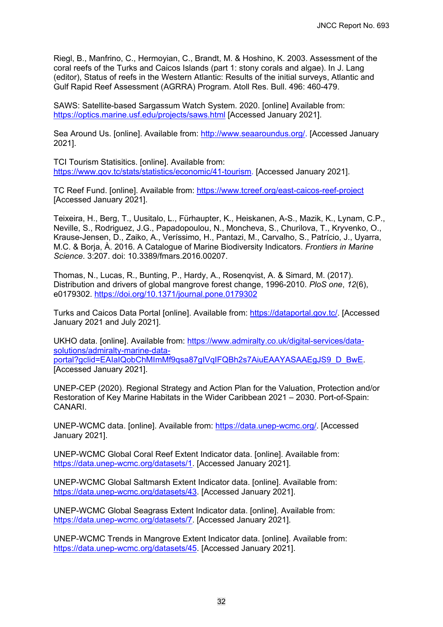Riegl, B., Manfrino, C., Hermoyian, C., Brandt, M. & Hoshino, K. 2003. Assessment of the coral reefs of the Turks and Caicos Islands (part 1: stony corals and algae). In J. Lang (editor), Status of reefs in the Western Atlantic: Results of the initial surveys, Atlantic and Gulf Rapid Reef Assessment (AGRRA) Program. Atoll Res. Bull. 496: 460-479.

SAWS: Satellite-based Sargassum Watch System. 2020. [online] Available from: <https://optics.marine.usf.edu/projects/saws.html> [Accessed January 2021].

Sea Around Us. [online]. Available from: [http://www.seaaroundus.org/.](http://www.seaaroundus.org/) [Accessed January 2021].

TCI Tourism Statisitics. [online]. Available from: [https://www.gov.tc/stats/statistics/economic/41-tourism.](https://www.gov.tc/stats/statistics/economic/41-tourism) [Accessed January 2021].

TC Reef Fund. [online]. Available from:<https://www.tcreef.org/east-caicos-reef-project> [Accessed January 2021].

Teixeira, H., Berg, T., Uusitalo, L., Fürhaupter, K., Heiskanen, A-S., Mazik, K., Lynam, C.P., Neville, S., Rodriguez, J.G., Papadopoulou, N., Moncheva, S., Churilova, T., Kryvenko, O., Krause-Jensen, D., Zaiko, A., Veríssimo, H., Pantazi, M., Carvalho, S., Patrício, J., Uyarra, M.C. & Borja, À. 2016. A Catalogue of Marine Biodiversity Indicators. *Frontiers in Marine Science*. 3:207. doi: 10.3389/fmars.2016.00207.

Thomas, N., Lucas, R., Bunting, P., Hardy, A., Rosenqvist, A. & Simard, M. (2017). Distribution and drivers of global mangrove forest change, 1996-2010. *PloS one*, *12*(6), e0179302.<https://doi.org/10.1371/journal.pone.0179302>

Turks and Caicos Data Portal [online]. Available from: [https://dataportal.gov.tc/.](https://dataportal.gov.tc/) [Accessed January 2021 and July 2021].

UKHO data. [online]. Available from: [https://www.admiralty.co.uk/digital-services/data](https://www.admiralty.co.uk/digital-services/data-solutions/admiralty-marine-data-portal?gclid=EAIaIQobChMImMf9qsa87gIVqIFQBh2s7AiuEAAYASAAEgJS9_D_BwE)[solutions/admiralty-marine-data](https://www.admiralty.co.uk/digital-services/data-solutions/admiralty-marine-data-portal?gclid=EAIaIQobChMImMf9qsa87gIVqIFQBh2s7AiuEAAYASAAEgJS9_D_BwE)[portal?gclid=EAIaIQobChMImMf9qsa87gIVqIFQBh2s7AiuEAAYASAAEgJS9\\_D\\_BwE.](https://www.admiralty.co.uk/digital-services/data-solutions/admiralty-marine-data-portal?gclid=EAIaIQobChMImMf9qsa87gIVqIFQBh2s7AiuEAAYASAAEgJS9_D_BwE) [Accessed January 2021].

UNEP-CEP (2020). Regional Strategy and Action Plan for the Valuation, Protection and/or Restoration of Key Marine Habitats in the Wider Caribbean 2021 – 2030. Port-of-Spain: CANARI.

UNEP-WCMC data. [online]. Available from: [https://data.unep-wcmc.org/.](https://data.unep-wcmc.org/) [Accessed January 2021].

UNEP-WCMC Global Coral Reef Extent Indicator data. [online]. Available from: [https://data.unep-wcmc.org/datasets/1.](https://data.unep-wcmc.org/datasets/1) [Accessed January 2021].

UNEP-WCMC Global Saltmarsh Extent Indicator data. [online]. Available from: [https://data.unep-wcmc.org/datasets/43.](https://data.unep-wcmc.org/datasets/43) [Accessed January 2021].

UNEP-WCMC Global Seagrass Extent Indicator data. [online]. Available from: [https://data.unep-wcmc.org/datasets/7.](https://data.unep-wcmc.org/datasets/7) [Accessed January 2021].

UNEP-WCMC Trends in Mangrove Extent Indicator data. [online]. Available from: [https://data.unep-wcmc.org/datasets/45.](https://data.unep-wcmc.org/datasets/45) [Accessed January 2021].